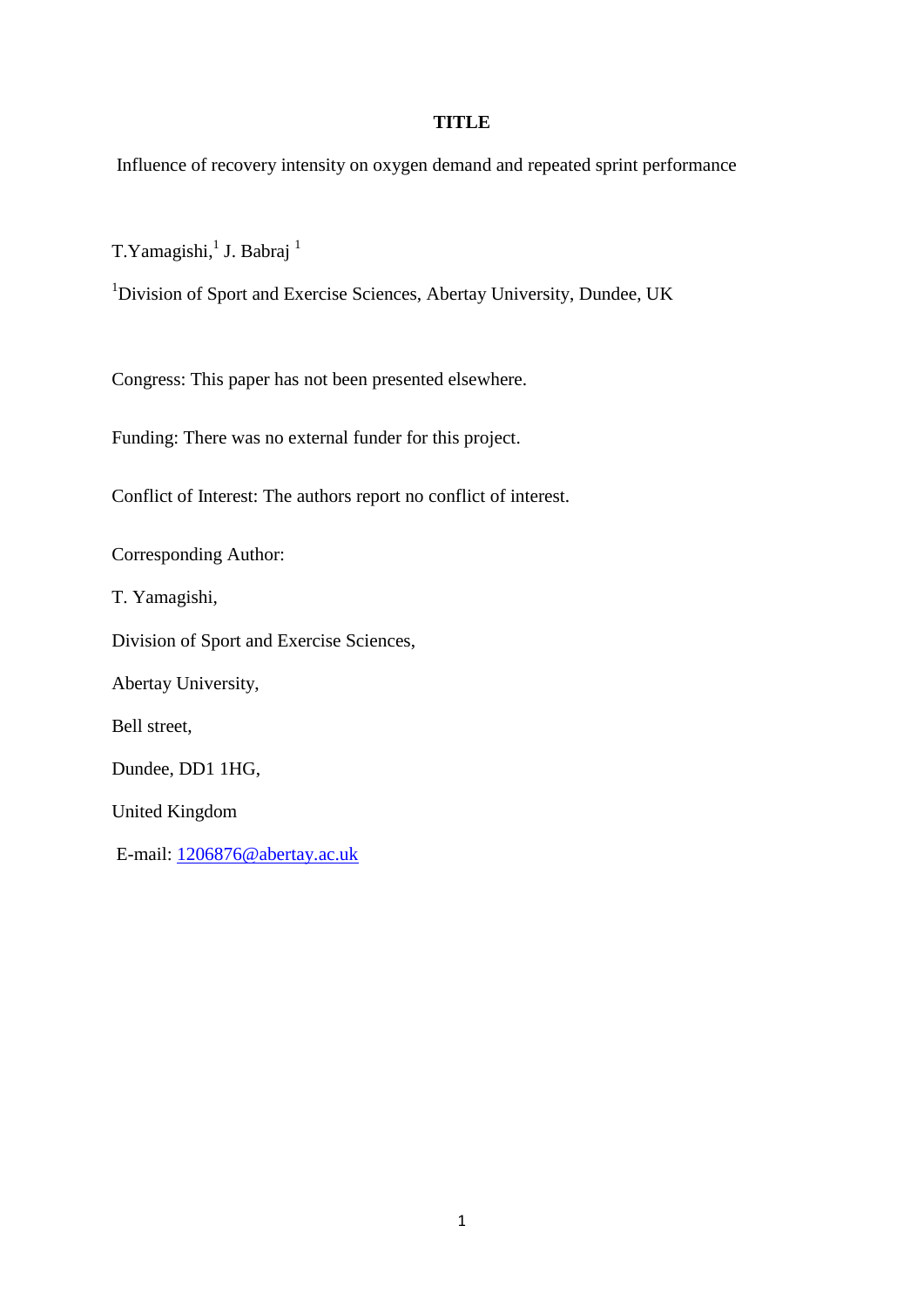### **TITLE**

Influence of recovery intensity on oxygen demand and repeated sprint performance

T. Yamagishi,<sup>1</sup> J. Babraj<sup>1</sup>

<sup>1</sup>Division of Sport and Exercise Sciences, Abertay University, Dundee, UK

Congress: This paper has not been presented elsewhere.

Funding: There was no external funder for this project.

Conflict of Interest: The authors report no conflict of interest.

Corresponding Author:

T. Yamagishi,

Division of Sport and Exercise Sciences,

Abertay University,

Bell street,

Dundee, DD1 1HG,

United Kingdom

E-mail: [1206876@abertay.ac.uk](mailto:1206876@abertay.ac.uk)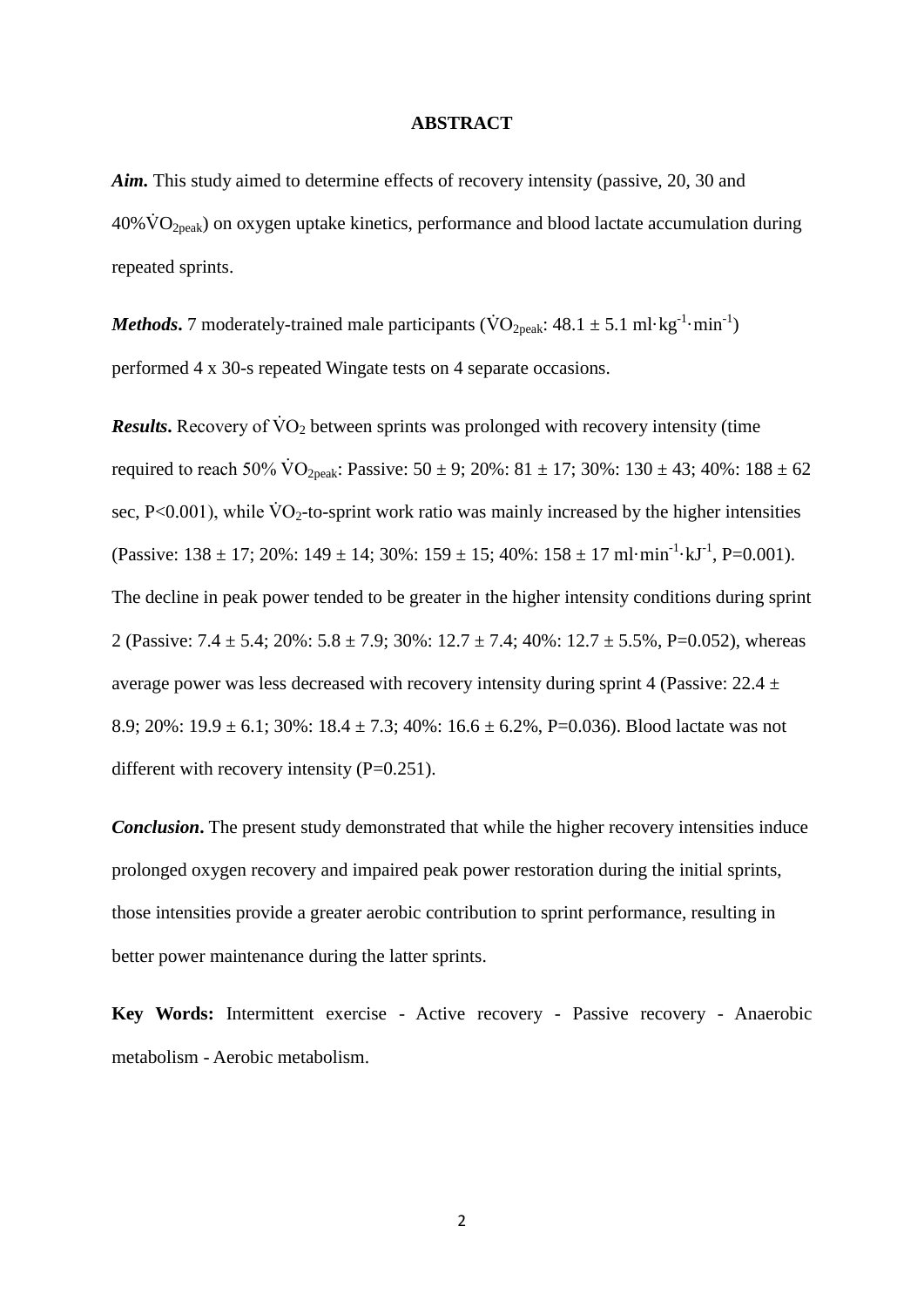### **ABSTRACT**

*Aim.* This study aimed to determine effects of recovery intensity (passive, 20, 30 and  $40\% \dot{V}O_{2\text{peak}}$ ) on oxygen uptake kinetics, performance and blood lactate accumulation during repeated sprints.

*Methods*. 7 moderately-trained male participants ( $\text{VO}_{2\text{peak}}$ : 48.1  $\pm$  5.1 ml·kg<sup>-1</sup>·min<sup>-1</sup>) performed 4 x 30-s repeated Wingate tests on 4 separate occasions.

*Results*. Recovery of  $\dot{V}O_2$  between sprints was prolonged with recovery intensity (time required to reach 50%  $\rm \dot{VO}_{2neak}$ : Passive:  $50 \pm 9$ ;  $20\%$ :  $81 \pm 17$ ;  $30\%$ :  $130 \pm 43$ ;  $40\%$ :  $188 \pm 62$ sec, P<0.001), while  $\text{VO}_2$ -to-sprint work ratio was mainly increased by the higher intensities (Passive:  $138 \pm 17$ ;  $20\%$ :  $149 \pm 14$ ;  $30\%$ :  $159 \pm 15$ ;  $40\%$ :  $158 \pm 17$  ml·min<sup>-1</sup>·kJ<sup>-1</sup>, P=0.001). The decline in peak power tended to be greater in the higher intensity conditions during sprint 2 (Passive:  $7.4 \pm 5.4$ ;  $20\%$ :  $5.8 \pm 7.9$ ;  $30\%$ :  $12.7 \pm 7.4$ ;  $40\%$ :  $12.7 \pm 5.5\%$ , P=0.052), whereas average power was less decreased with recovery intensity during sprint 4 (Passive:  $22.4 \pm$ 8.9; 20%:  $19.9 \pm 6.1$ ; 30%:  $18.4 \pm 7.3$ ; 40%:  $16.6 \pm 6.2$ %, P=0.036). Blood lactate was not different with recovery intensity  $(P=0.251)$ .

*Conclusion***.** The present study demonstrated that while the higher recovery intensities induce prolonged oxygen recovery and impaired peak power restoration during the initial sprints, those intensities provide a greater aerobic contribution to sprint performance, resulting in better power maintenance during the latter sprints.

**Key Words:** Intermittent exercise - Active recovery - Passive recovery - Anaerobic metabolism - Aerobic metabolism.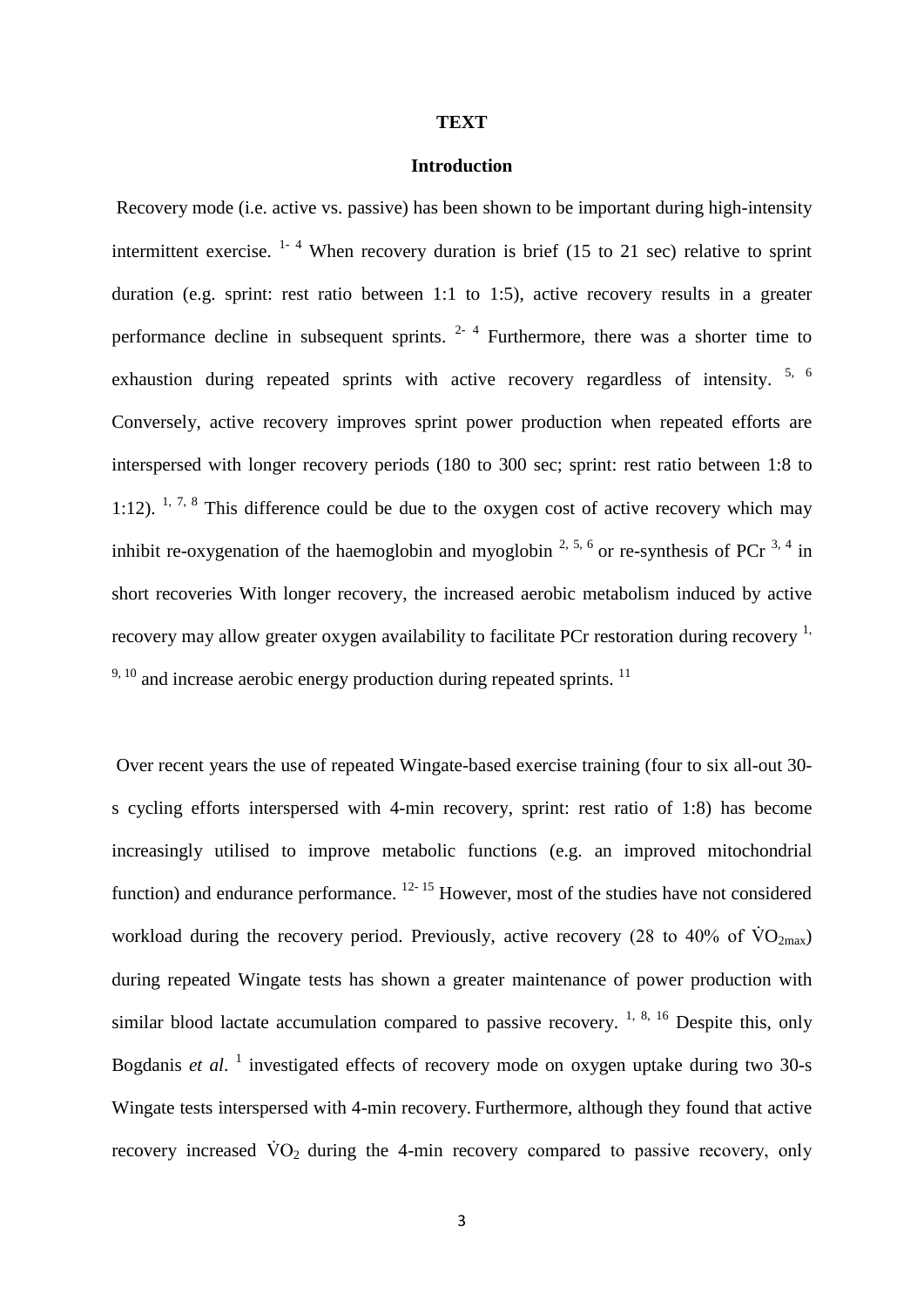#### **TEXT**

### **Introduction**

Recovery mode (i.e. active vs. passive) has been shown to be important during high-intensity intermittent exercise.  $1 - 4$  When recovery duration is brief (15 to 21 sec) relative to sprint duration (e.g. sprint: rest ratio between 1:1 to 1:5), active recovery results in a greater performance decline in subsequent sprints.  $2-4$  Furthermore, there was a shorter time to exhaustion during repeated sprints with active recovery regardless of intensity. <sup>5, 6</sup> Conversely, active recovery improves sprint power production when repeated efforts are interspersed with longer recovery periods (180 to 300 sec; sprint: rest ratio between 1:8 to 1:12).  $1, 7, 8$  This difference could be due to the oxygen cost of active recovery which may inhibit re-oxygenation of the haemoglobin and myoglobin  $2, 5, 6$  or re-synthesis of PCr  $3, 4$  in short recoveries With longer recovery, the increased aerobic metabolism induced by active recovery may allow greater oxygen availability to facilitate PCr restoration during recovery  $<sup>1</sup>$ ,</sup>  $9,10$  and increase aerobic energy production during repeated sprints.  $11$ 

Over recent years the use of repeated Wingate-based exercise training (four to six all-out 30 s cycling efforts interspersed with 4-min recovery, sprint: rest ratio of 1:8) has become increasingly utilised to improve metabolic functions (e.g. an improved mitochondrial function) and endurance performance.  $12 - 15$  However, most of the studies have not considered workload during the recovery period. Previously, active recovery (28 to 40% of  $\rm\dot{VO}_{2max}$ ) during repeated Wingate tests has shown a greater maintenance of power production with similar blood lactate accumulation compared to passive recovery.  $1, 8, 16$  Despite this, only Bogdanis et al.<sup>1</sup> investigated effects of recovery mode on oxygen uptake during two 30-s Wingate tests interspersed with 4-min recovery. Furthermore, although they found that active recovery increased  $\dot{V}O_2$  during the 4-min recovery compared to passive recovery, only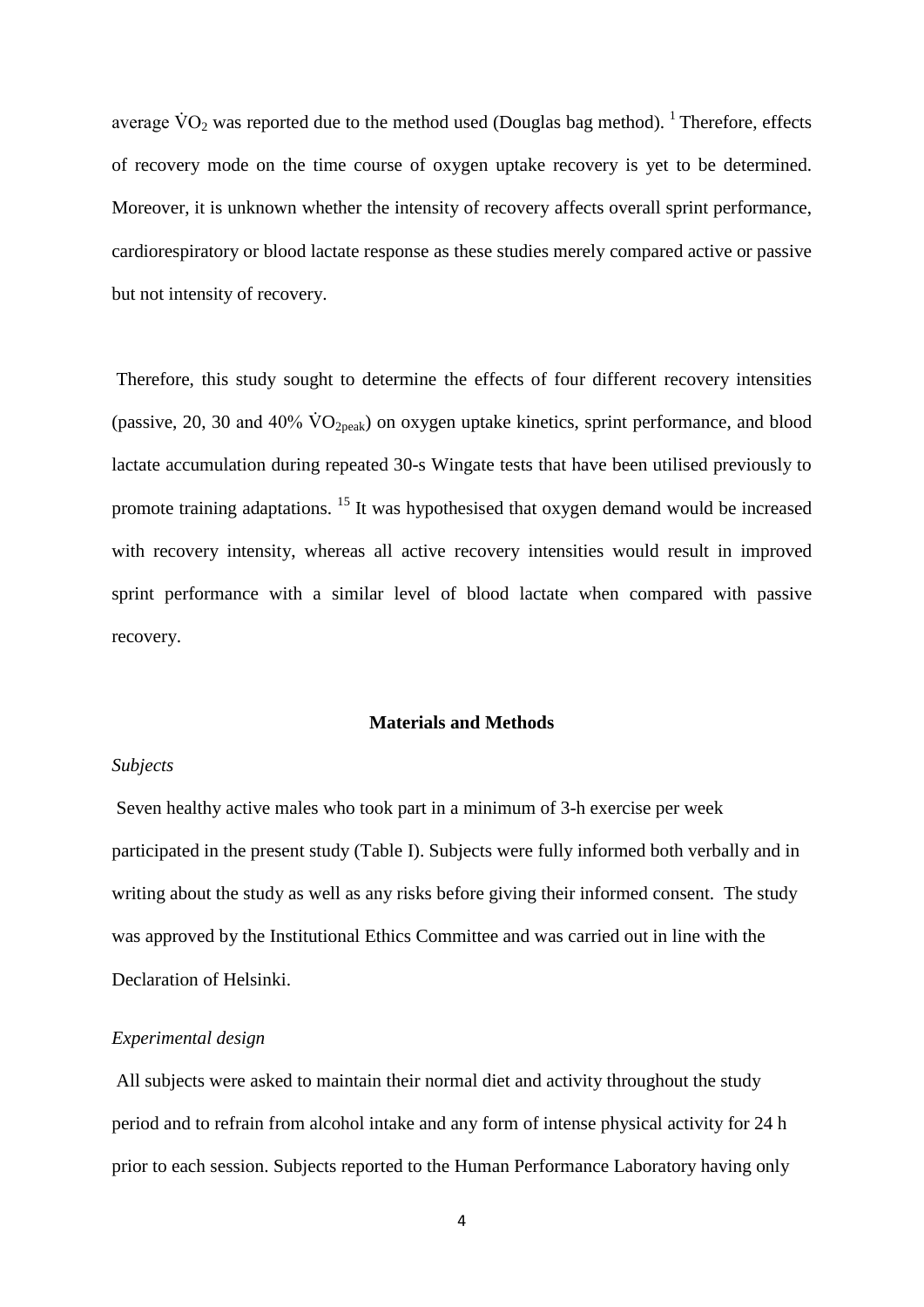average  $\text{VO}_2$  was reported due to the method used (Douglas bag method). <sup>1</sup> Therefore, effects of recovery mode on the time course of oxygen uptake recovery is yet to be determined. Moreover, it is unknown whether the intensity of recovery affects overall sprint performance, cardiorespiratory or blood lactate response as these studies merely compared active or passive but not intensity of recovery.

Therefore, this study sought to determine the effects of four different recovery intensities (passive, 20, 30 and 40%  $\rm \dot{VO}_{2peak}$ ) on oxygen uptake kinetics, sprint performance, and blood lactate accumulation during repeated 30-s Wingate tests that have been utilised previously to promote training adaptations. <sup>15</sup> It was hypothesised that oxygen demand would be increased with recovery intensity, whereas all active recovery intensities would result in improved sprint performance with a similar level of blood lactate when compared with passive recovery.

## **Materials and Methods**

## *Subjects*

Seven healthy active males who took part in a minimum of 3-h exercise per week participated in the present study (Table I). Subjects were fully informed both verbally and in writing about the study as well as any risks before giving their informed consent. The study was approved by the Institutional Ethics Committee and was carried out in line with the Declaration of Helsinki.

## *Experimental design*

All subjects were asked to maintain their normal diet and activity throughout the study period and to refrain from alcohol intake and any form of intense physical activity for 24 h prior to each session. Subjects reported to the Human Performance Laboratory having only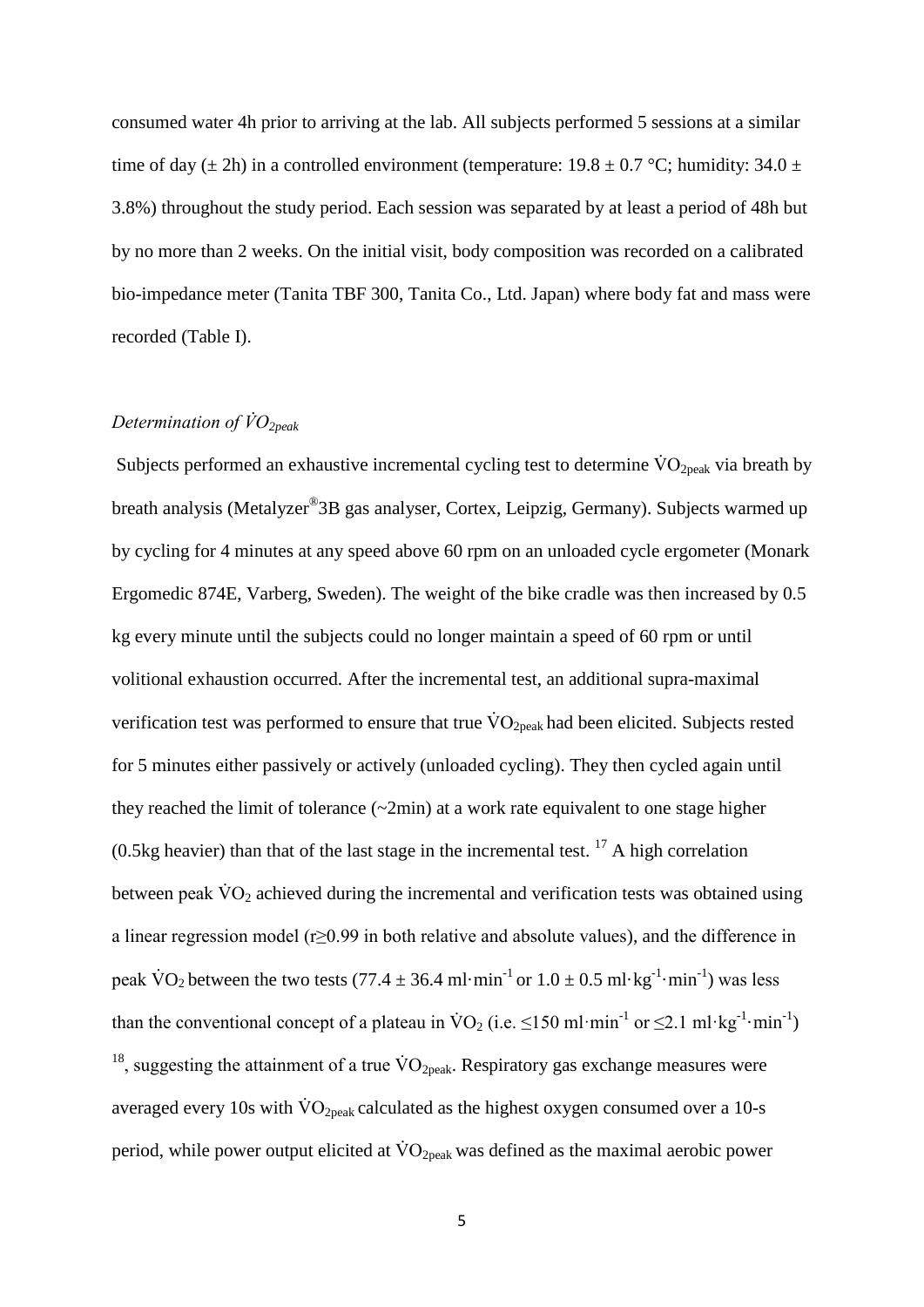consumed water 4h prior to arriving at the lab. All subjects performed 5 sessions at a similar time of day ( $\pm$  2h) in a controlled environment (temperature: 19.8  $\pm$  0.7 °C; humidity: 34.0  $\pm$ 3.8%) throughout the study period. Each session was separated by at least a period of 48h but by no more than 2 weeks. On the initial visit, body composition was recorded on a calibrated bio-impedance meter (Tanita TBF 300, Tanita Co., Ltd. Japan) where body fat and mass were recorded (Table I).

# *Determination of V̇O2peak*

Subjects performed an exhaustive incremental cycling test to determine  $\rm \ddot{V}O_{2peak}$  via breath by breath analysis (Metalyzer® 3B gas analyser, Cortex, Leipzig, Germany). Subjects warmed up by cycling for 4 minutes at any speed above 60 rpm on an unloaded cycle ergometer (Monark Ergomedic 874E, Varberg, Sweden). The weight of the bike cradle was then increased by 0.5 kg every minute until the subjects could no longer maintain a speed of 60 rpm or until volitional exhaustion occurred. After the incremental test, an additional supra-maximal verification test was performed to ensure that true  $\rm \dot{VO}_{2peak}$  had been elicited. Subjects rested for 5 minutes either passively or actively (unloaded cycling). They then cycled again until they reached the limit of tolerance  $(\sim 2\text{min})$  at a work rate equivalent to one stage higher (0.5kg heavier) than that of the last stage in the incremental test.  $^{17}$  A high correlation between peak  $\dot{V}O_2$  achieved during the incremental and verification tests was obtained using a linear regression model (r≥0.99 in both relative and absolute values), and the difference in peak  $\text{VO}_2$  between the two tests (77.4  $\pm$  36.4 ml·min<sup>-1</sup> or  $1.0 \pm 0.5$  ml·kg<sup>-1</sup>·min<sup>-1</sup>) was less than the conventional concept of a plateau in  $\text{VO}_2$  (i.e.  $\leq 150 \text{ ml} \cdot \text{min}^{-1}$  or  $\leq 2.1 \text{ ml} \cdot \text{kg}^{-1} \cdot \text{min}^{-1}$ ) <sup>18</sup>, suggesting the attainment of a true  $\rm \dot{VO}_{2peak}$ . Respiratory gas exchange measures were averaged every 10s with  $\rm \dot{VO}_{2peak}$  calculated as the highest oxygen consumed over a 10-s period, while power output elicited at  $\rm \dot{V}O_{2peak}$  was defined as the maximal aerobic power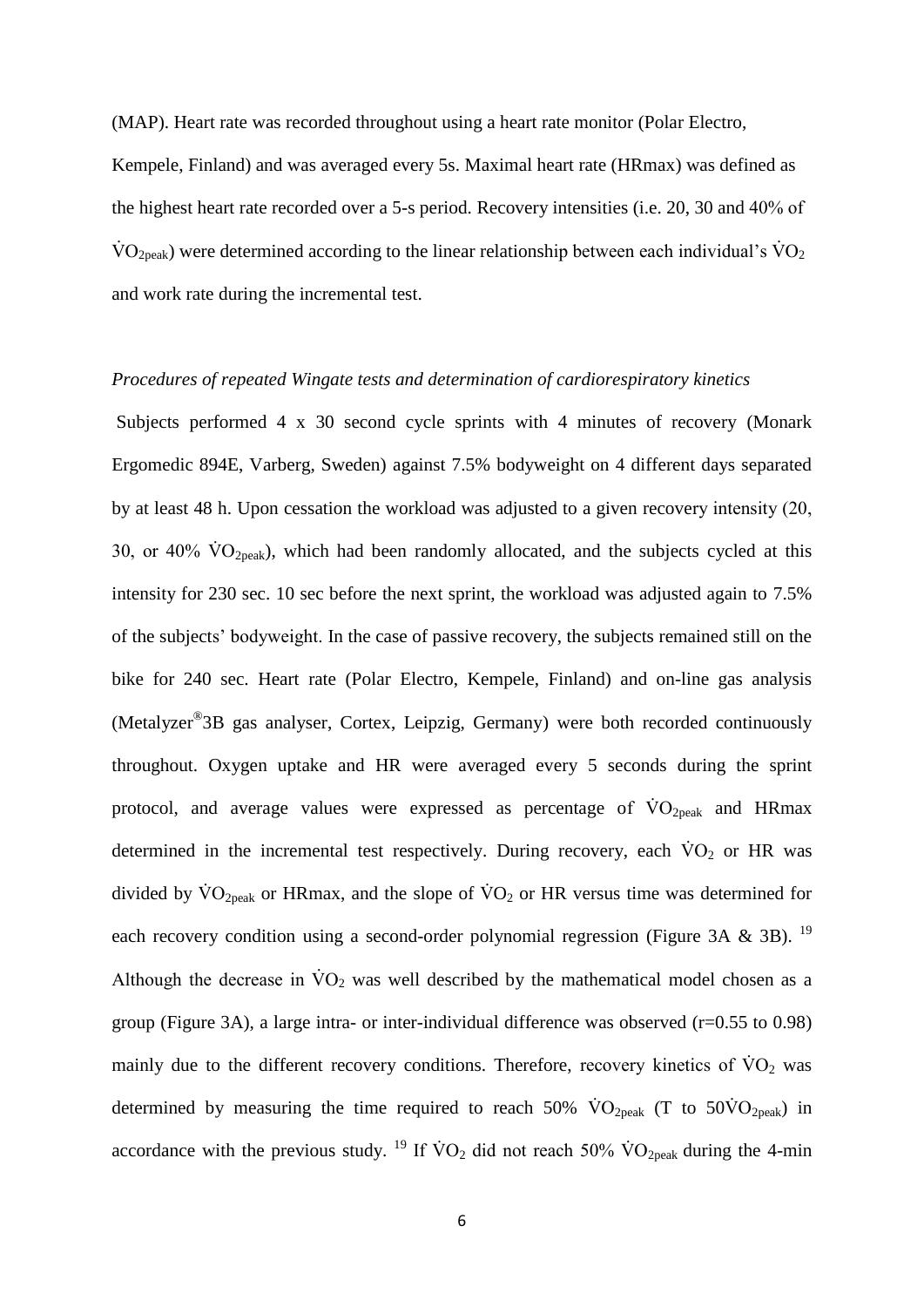(MAP). Heart rate was recorded throughout using a heart rate monitor (Polar Electro,

Kempele, Finland) and was averaged every 5s. Maximal heart rate (HRmax) was defined as the highest heart rate recorded over a 5-s period. Recovery intensities (i.e. 20, 30 and 40% of  $\rm \dot{VO}_{2peak}$ ) were determined according to the linear relationship between each individual's  $\rm \dot{VO}_{2}$ and work rate during the incremental test.

#### *Procedures of repeated Wingate tests and determination of cardiorespiratory kinetics*

Subjects performed 4 x 30 second cycle sprints with 4 minutes of recovery (Monark Ergomedic 894E, Varberg, Sweden) against 7.5% bodyweight on 4 different days separated by at least 48 h. Upon cessation the workload was adjusted to a given recovery intensity (20, 30, or 40%  $\rm\dot{VO}_{2peak}$ ), which had been randomly allocated, and the subjects cycled at this intensity for 230 sec. 10 sec before the next sprint, the workload was adjusted again to 7.5% of the subjects' bodyweight. In the case of passive recovery, the subjects remained still on the bike for 240 sec. Heart rate (Polar Electro, Kempele, Finland) and on-line gas analysis (Metalyzer® 3B gas analyser, Cortex, Leipzig, Germany) were both recorded continuously throughout. Oxygen uptake and HR were averaged every 5 seconds during the sprint protocol, and average values were expressed as percentage of  $\rm{VO}_{2\nu eak}$  and HRmax determined in the incremental test respectively. During recovery, each  $\dot{V}O_2$  or HR was divided by  $\rm\dot{VO}_{2peak}$  or HRmax, and the slope of  $\rm\dot{VO}_{2}$  or HR versus time was determined for each recovery condition using a second-order polynomial regression (Figure 3A & 3B). <sup>19</sup> Although the decrease in  $\dot{V}O_2$  was well described by the mathematical model chosen as a group (Figure 3A), a large intra- or inter-individual difference was observed (r=0.55 to 0.98) mainly due to the different recovery conditions. Therefore, recovery kinetics of  $\rm VO_2$  was determined by measuring the time required to reach 50%  $\rm\dot{VO}_{2peak}$  (T to 50 $\rm\dot{VO}_{2peak}$ ) in accordance with the previous study. <sup>19</sup> If  $\rm\dot{V}O_2$  did not reach 50%  $\rm\dot{V}O_{2peak}$  during the 4-min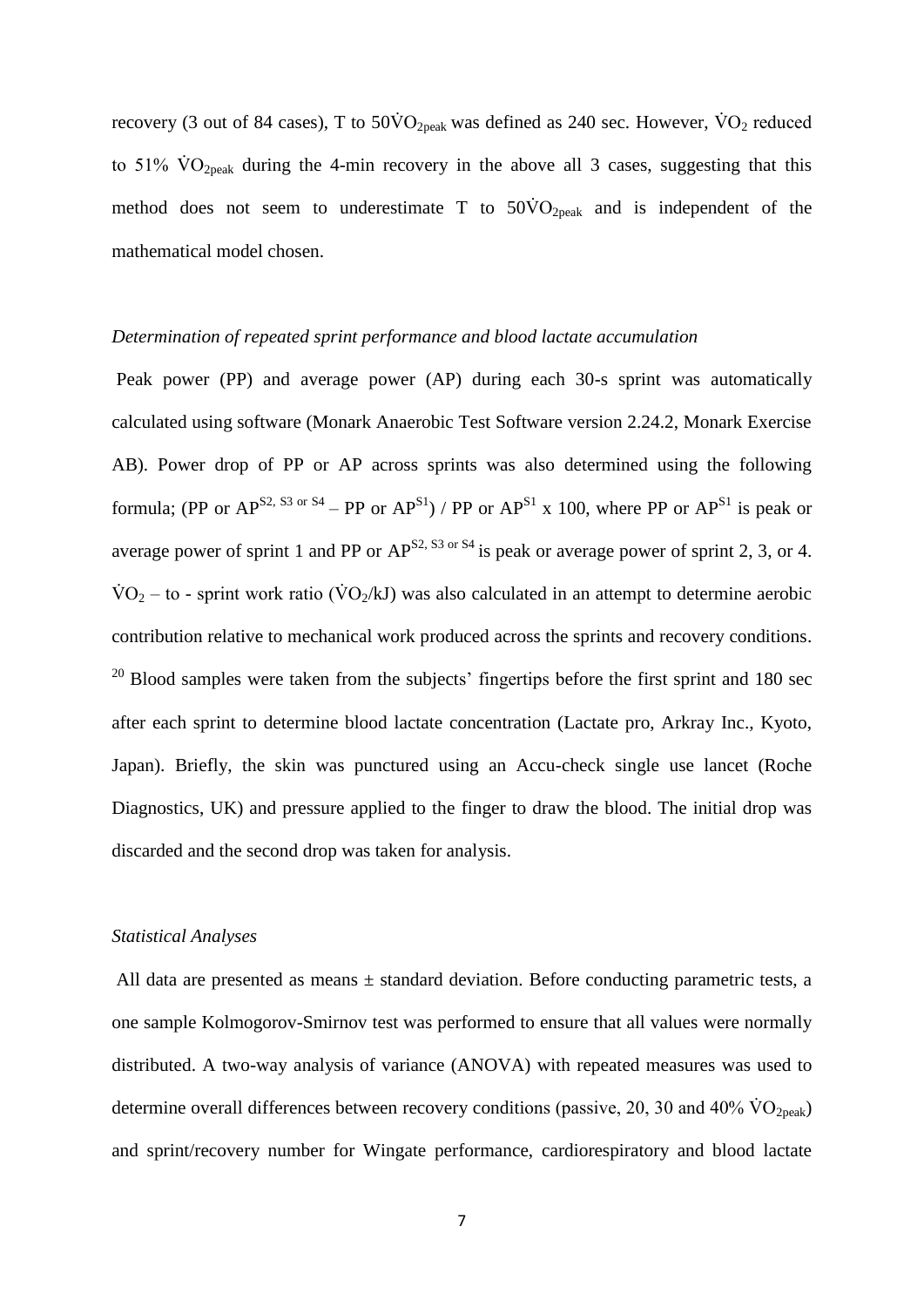recovery (3 out of 84 cases), T to  $50\dot{V}O_{2\text{peak}}$  was defined as 240 sec. However,  $\dot{V}O_2$  reduced to 51%  $\rm\dot{VO}_{2peak}$  during the 4-min recovery in the above all 3 cases, suggesting that this method does not seem to underestimate T to  $50\text{VO}_{2\text{peak}}$  and is independent of the mathematical model chosen.

## *Determination of repeated sprint performance and blood lactate accumulation*

Peak power (PP) and average power (AP) during each 30-s sprint was automatically calculated using software (Monark Anaerobic Test Software version 2.24.2, Monark Exercise AB). Power drop of PP or AP across sprints was also determined using the following formula; (PP or  $AP^{S2, S3 \text{ or } S4}$  – PP or  $AP^{S1}$ ) / PP or  $AP^{S1}$  x 100, where PP or  $AP^{S1}$  is peak or average power of sprint 1 and PP or  $AP^{S2, S3 \text{ or } S4}$  is peak or average power of sprint 2, 3, or 4.  $\text{VO}_2$  – to - sprint work ratio ( $\text{VO}_2/\text{kJ}$ ) was also calculated in an attempt to determine aerobic contribution relative to mechanical work produced across the sprints and recovery conditions.  $20$  Blood samples were taken from the subjects' fingertips before the first sprint and 180 sec after each sprint to determine blood lactate concentration (Lactate pro, Arkray Inc., Kyoto, Japan). Briefly, the skin was punctured using an Accu-check single use lancet (Roche Diagnostics, UK) and pressure applied to the finger to draw the blood. The initial drop was discarded and the second drop was taken for analysis.

#### *Statistical Analyses*

All data are presented as means  $\pm$  standard deviation. Before conducting parametric tests, a one sample Kolmogorov-Smirnov test was performed to ensure that all values were normally distributed. A two-way analysis of variance (ANOVA) with repeated measures was used to determine overall differences between recovery conditions (passive, 20, 30 and 40%  $\rm \dot{VO}_{2peak}$ ) and sprint/recovery number for Wingate performance, cardiorespiratory and blood lactate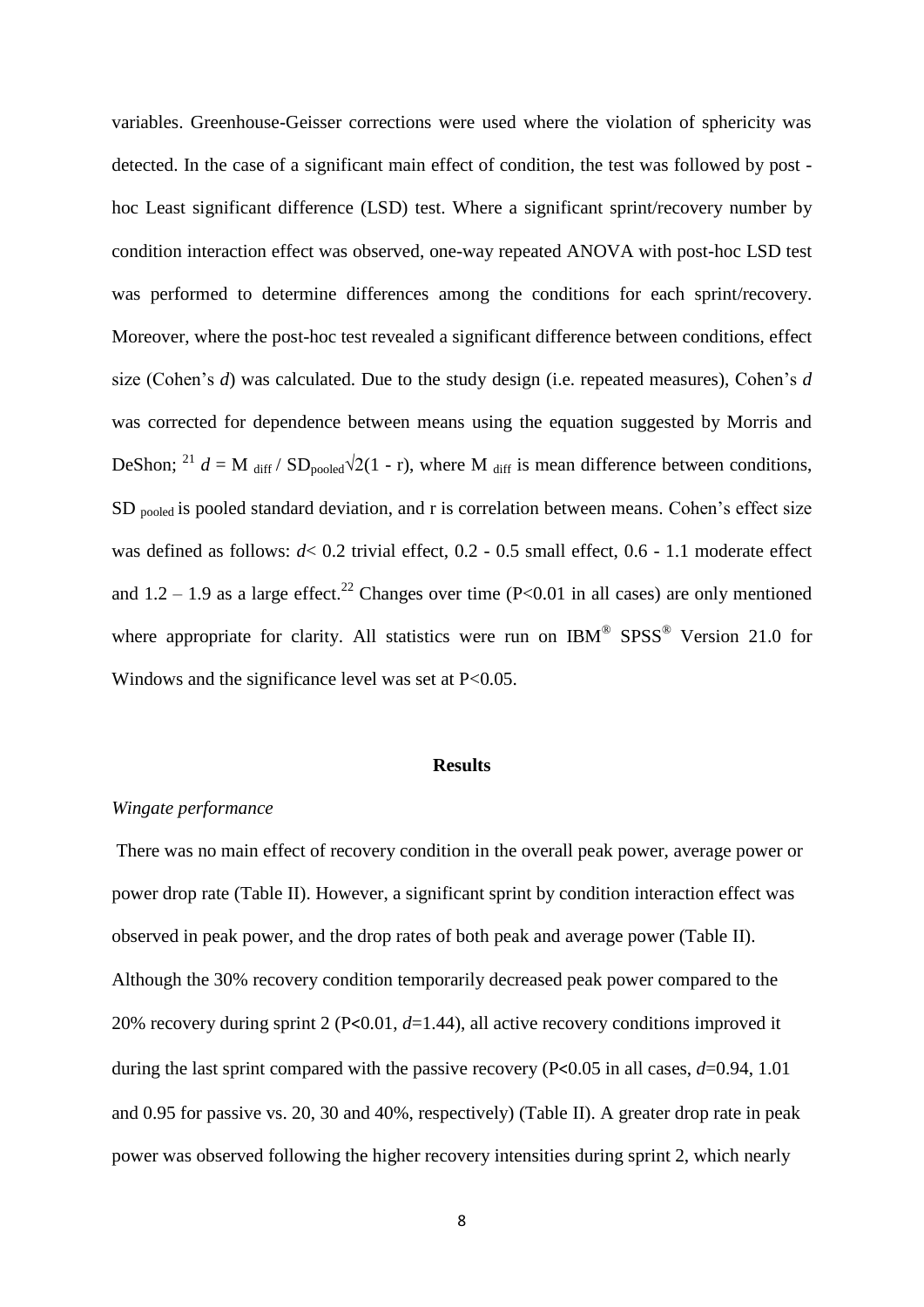variables. Greenhouse-Geisser corrections were used where the violation of sphericity was detected. In the case of a significant main effect of condition, the test was followed by post hoc Least significant difference (LSD) test. Where a significant sprint/recovery number by condition interaction effect was observed, one-way repeated ANOVA with post-hoc LSD test was performed to determine differences among the conditions for each sprint/recovery. Moreover, where the post-hoc test revealed a significant difference between conditions, effect size (Cohen's *d*) was calculated. Due to the study design (i.e. repeated measures), Cohen's *d* was corrected for dependence between means using the equation suggested by Morris and DeShon; <sup>21</sup> *d* = M <sub>diff</sub> / SD<sub>pooled</sub> $\sqrt{2(1 - r)}$ , where M <sub>diff</sub> is mean difference between conditions, SD <sub>pooled</sub> is pooled standard deviation, and r is correlation between means. Cohen's effect size was defined as follows:  $d \le 0.2$  trivial effect, 0.2 - 0.5 small effect, 0.6 - 1.1 moderate effect and  $1.2 - 1.9$  as a large effect.<sup>22</sup> Changes over time (P<0.01 in all cases) are only mentioned where appropriate for clarity. All statistics were run on  $IBM^{\circ}$  SPSS<sup>®</sup> Version 21.0 for Windows and the significance level was set at  $P<0.05$ .

### **Results**

## *Wingate performance*

There was no main effect of recovery condition in the overall peak power, average power or power drop rate (Table II). However, a significant sprint by condition interaction effect was observed in peak power, and the drop rates of both peak and average power (Table II). Although the 30% recovery condition temporarily decreased peak power compared to the 20% recovery during sprint 2 (P<0.01, *d*=1.44), all active recovery conditions improved it during the last sprint compared with the passive recovery (P<0.05 in all cases,  $d=0.94$ , 1.01 and 0.95 for passive vs. 20, 30 and 40%, respectively) (Table II). A greater drop rate in peak power was observed following the higher recovery intensities during sprint 2, which nearly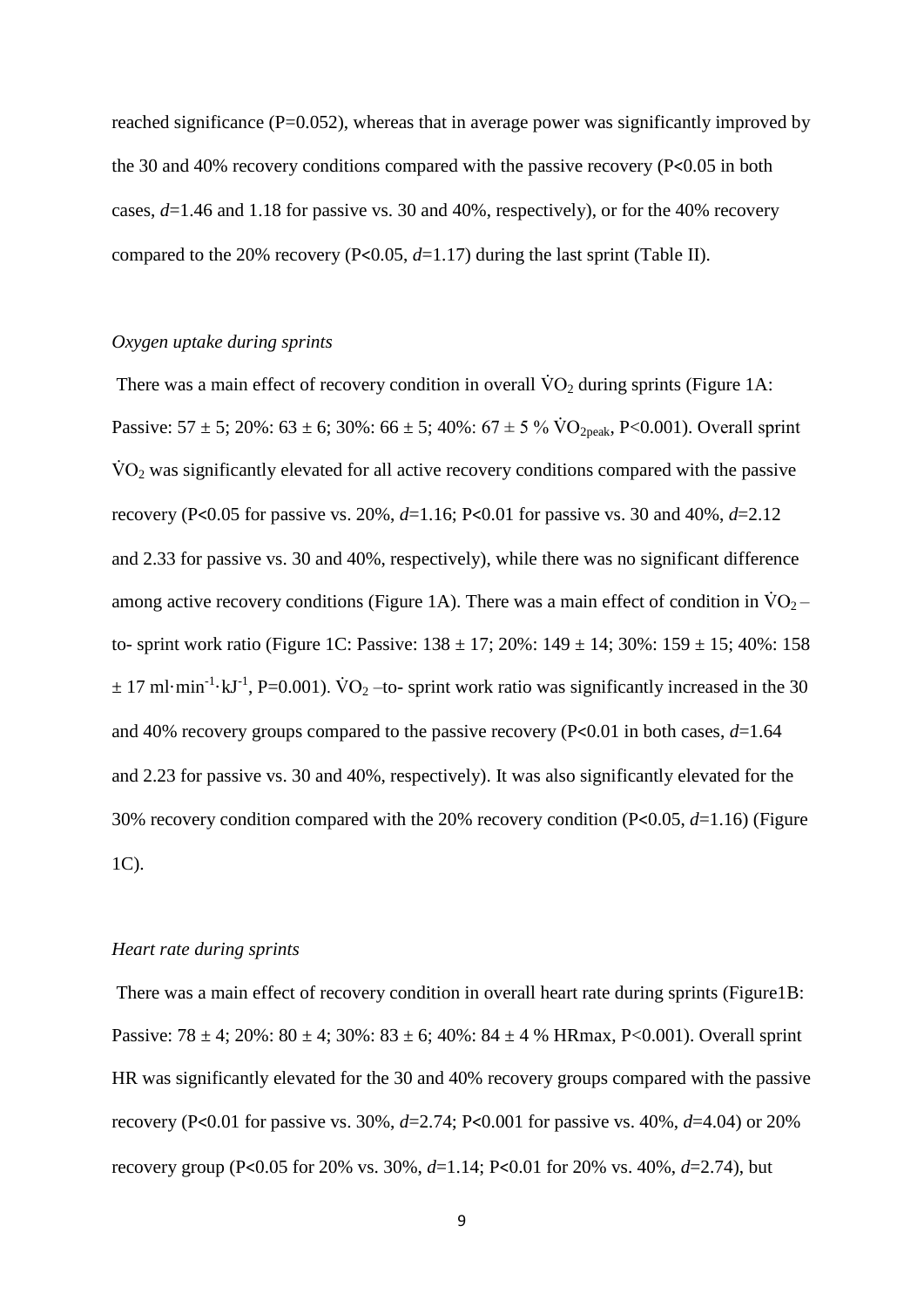reached significance  $(P=0.052)$ , whereas that in average power was significantly improved by the 30 and 40% recovery conditions compared with the passive recovery (P<0.05 in both cases, *d*=1.46 and 1.18 for passive vs. 30 and 40%, respectively), or for the 40% recovery compared to the 20% recovery (P<0.05,  $d=1.17$ ) during the last sprint (Table II).

## *Oxygen uptake during sprints*

There was a main effect of recovery condition in overall  $\rm \dot{V}O_2$  during sprints (Figure 1A: Passive:  $57 \pm 5$ ;  $20\%$ :  $63 \pm 6$ ;  $30\%$ :  $66 \pm 5$ ;  $40\%$ :  $67 \pm 5\%$   $\text{VO}_{2\text{peak}}$ , P<0.001). Overall sprint  $\rm \dot{VO}_2$  was significantly elevated for all active recovery conditions compared with the passive recovery (P<0.05 for passive vs. 20%, *d*=1.16; P<0.01 for passive vs. 30 and 40%, *d*=2.12 and 2.33 for passive vs. 30 and 40%, respectively), while there was no significant difference among active recovery conditions (Figure 1A). There was a main effect of condition in  $\dot{V}O_2$  – to- sprint work ratio (Figure 1C: Passive:  $138 \pm 17$ ;  $20\%$ :  $149 \pm 14$ ;  $30\%$ :  $159 \pm 15$ ;  $40\%$ : 158  $\pm$  17 ml·min<sup>-1</sup>·kJ<sup>-1</sup>, P=0.001). VO<sub>2</sub> –to- sprint work ratio was significantly increased in the 30 and 40% recovery groups compared to the passive recovery (P<0.01 in both cases, *d*=1.64 and 2.23 for passive vs. 30 and 40%, respectively). It was also significantly elevated for the 30% recovery condition compared with the 20% recovery condition (P<0.05, *d*=1.16) (Figure 1C).

## *Heart rate during sprints*

There was a main effect of recovery condition in overall heart rate during sprints (Figure1B: Passive:  $78 \pm 4$ ;  $20\%$ :  $80 \pm 4$ ;  $30\%$ :  $83 \pm 6$ ;  $40\%$ :  $84 \pm 4$  % HRmax, P<0.001). Overall sprint HR was significantly elevated for the 30 and 40% recovery groups compared with the passive recovery (P<0.01 for passive vs. 30%, *d*=2.74; P<0.001 for passive vs. 40%, *d*=4.04) or 20% recovery group (P<0.05 for 20% vs. 30%, *d*=1.14; P<0.01 for 20% vs. 40%, *d*=2.74), but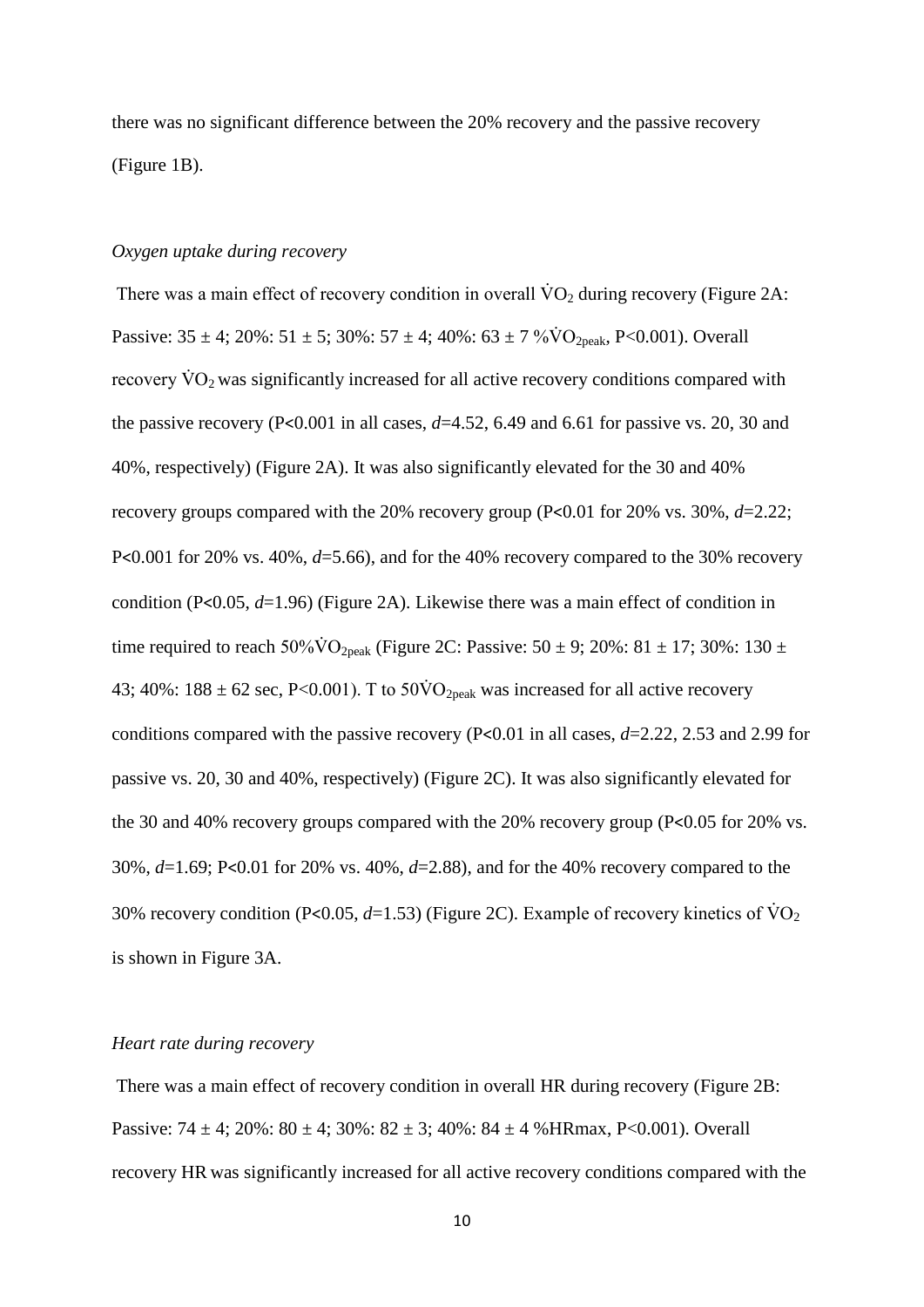there was no significant difference between the 20% recovery and the passive recovery (Figure 1B).

## *Oxygen uptake during recovery*

There was a main effect of recovery condition in overall  $\rm \dot{V}O_{2}$  during recovery (Figure 2A: Passive:  $35 \pm 4$ ;  $20\%$ :  $51 \pm 5$ ;  $30\%$ :  $57 \pm 4$ ;  $40\%$ :  $63 \pm 7\% \text{VO}_{2\text{peak}}$ , P<0.001). Overall recovery  $\dot{V}O_2$  was significantly increased for all active recovery conditions compared with the passive recovery (P<0.001 in all cases,  $d=4.52$ , 6.49 and 6.61 for passive vs. 20, 30 and 40%, respectively) (Figure 2A). It was also significantly elevated for the 30 and 40% recovery groups compared with the 20% recovery group (P<0.01 for 20% vs. 30%, *d*=2.22; P<0.001 for 20% vs. 40%, *d*=5.66), and for the 40% recovery compared to the 30% recovery condition (P<0.05, *d*=1.96) (Figure 2A). Likewise there was a main effect of condition in time required to reach 50% $\dot{V}O_{2\text{peak}}$  (Figure 2C: Passive: 50  $\pm$  9; 20%: 81  $\pm$  17; 30%: 130  $\pm$ 43; 40%:  $188 \pm 62$  sec, P<0.001). T to  $50\text{VO}_{2\text{peak}}$  was increased for all active recovery conditions compared with the passive recovery (P<0.01 in all cases, *d*=2.22, 2.53 and 2.99 for passive vs. 20, 30 and 40%, respectively) (Figure 2C). It was also significantly elevated for the 30 and 40% recovery groups compared with the 20% recovery group (P<0.05 for 20% vs. 30%, *d*=1.69; P<0.01 for 20% vs. 40%, *d*=2.88), and for the 40% recovery compared to the 30% recovery condition (P<0.05,  $d=1.53$ ) (Figure 2C). Example of recovery kinetics of  $\dot{V}O_2$ is shown in Figure 3A.

## *Heart rate during recovery*

There was a main effect of recovery condition in overall HR during recovery (Figure 2B: Passive:  $74 \pm 4$ ;  $20\%$ :  $80 \pm 4$ ;  $30\%$ :  $82 \pm 3$ ;  $40\%$ :  $84 \pm 4$  % HRmax, P<0.001). Overall recovery HR was significantly increased for all active recovery conditions compared with the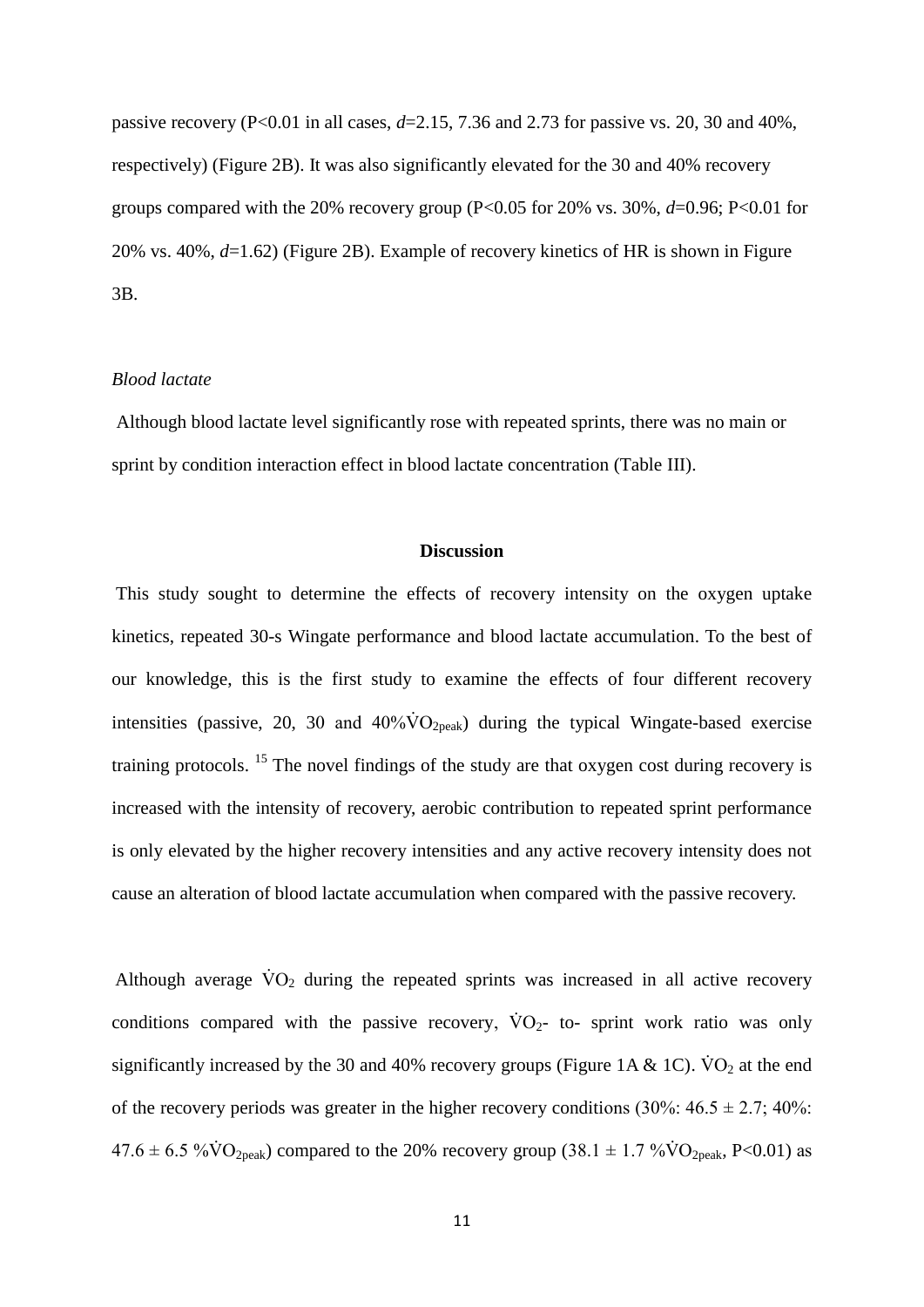passive recovery ( $P < 0.01$  in all cases,  $d = 2.15, 7.36$  and  $2.73$  for passive vs. 20, 30 and 40%, respectively) (Figure 2B). It was also significantly elevated for the 30 and 40% recovery groups compared with the 20% recovery group (P<0.05 for 20% vs. 30%,  $d=0.96$ ; P<0.01 for 20% vs. 40%, *d*=1.62) (Figure 2B). Example of recovery kinetics of HR is shown in Figure 3B.

#### *Blood lactate*

Although blood lactate level significantly rose with repeated sprints, there was no main or sprint by condition interaction effect in blood lactate concentration (Table III).

## **Discussion**

This study sought to determine the effects of recovery intensity on the oxygen uptake kinetics, repeated 30-s Wingate performance and blood lactate accumulation. To the best of our knowledge, this is the first study to examine the effects of four different recovery intensities (passive, 20, 30 and  $40\% \dot{V}O_{2\text{peak}}$ ) during the typical Wingate-based exercise training protocols. <sup>15</sup> The novel findings of the study are that oxygen cost during recovery is increased with the intensity of recovery, aerobic contribution to repeated sprint performance is only elevated by the higher recovery intensities and any active recovery intensity does not cause an alteration of blood lactate accumulation when compared with the passive recovery.

Although average  $\dot{V}O_2$  during the repeated sprints was increased in all active recovery conditions compared with the passive recovery,  $\dot{V}O_2$ - to- sprint work ratio was only significantly increased by the 30 and 40% recovery groups (Figure 1A & 1C).  $\dot{V}O_2$  at the end of the recovery periods was greater in the higher recovery conditions  $(30\% : 46.5 \pm 2.7; 40\% :$  $47.6 \pm 6.5 \sqrt[6]{60}$ <sub>2peak</sub>) compared to the 20% recovery group (38.1  $\pm$  1.7 % $\dot{V}O_{2\text{peak}}$ , P<0.01) as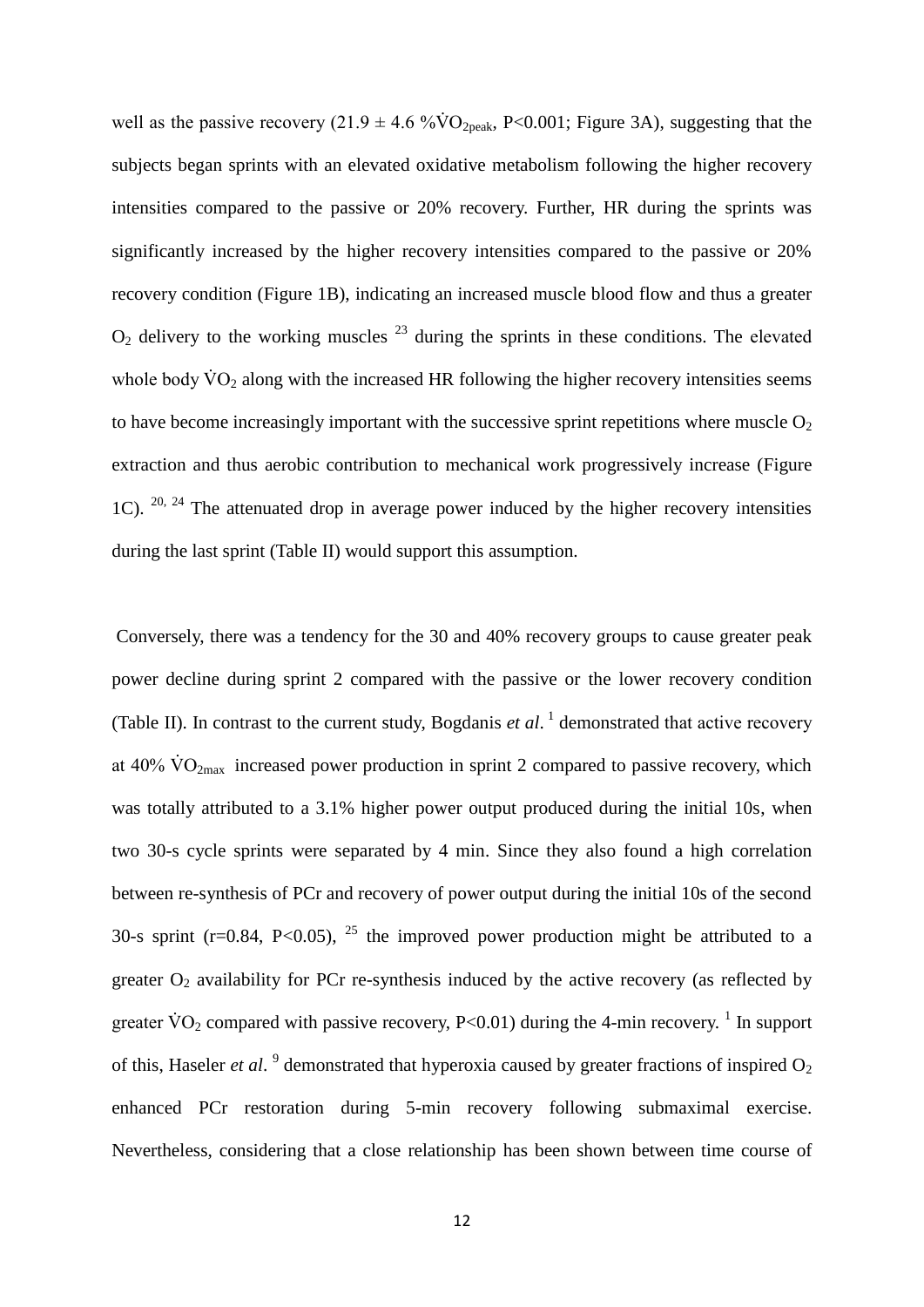well as the passive recovery (21.9  $\pm$  4.6 %VO<sub>2peak</sub>, P<0.001; Figure 3A), suggesting that the subjects began sprints with an elevated oxidative metabolism following the higher recovery intensities compared to the passive or 20% recovery. Further, HR during the sprints was significantly increased by the higher recovery intensities compared to the passive or 20% recovery condition (Figure 1B), indicating an increased muscle blood flow and thus a greater  $O<sub>2</sub>$  delivery to the working muscles  $^{23}$  during the sprints in these conditions. The elevated whole body  $\dot{V}O_2$  along with the increased HR following the higher recovery intensities seems to have become increasingly important with the successive sprint repetitions where muscle  $O_2$ extraction and thus aerobic contribution to mechanical work progressively increase (Figure 1C).  $20, 24$  The attenuated drop in average power induced by the higher recovery intensities during the last sprint (Table II) would support this assumption.

Conversely, there was a tendency for the 30 and 40% recovery groups to cause greater peak power decline during sprint 2 compared with the passive or the lower recovery condition (Table II). In contrast to the current study, Bogdanis  $et al.$ <sup>1</sup> demonstrated that active recovery at 40%  $\rm \dot{VO}_{2max}$  increased power production in sprint 2 compared to passive recovery, which was totally attributed to a 3.1% higher power output produced during the initial 10s, when two 30-s cycle sprints were separated by 4 min. Since they also found a high correlation between re-synthesis of PCr and recovery of power output during the initial 10s of the second 30-s sprint (r=0.84, P<0.05), <sup>25</sup> the improved power production might be attributed to a greater  $O_2$  availability for PCr re-synthesis induced by the active recovery (as reflected by greater  $\text{VO}_2$  compared with passive recovery, P<0.01) during the 4-min recovery. <sup>1</sup> In support of this, Haseler *et al.* <sup>9</sup> demonstrated that hyperoxia caused by greater fractions of inspired O<sub>2</sub> enhanced PCr restoration during 5-min recovery following submaximal exercise. Nevertheless, considering that a close relationship has been shown between time course of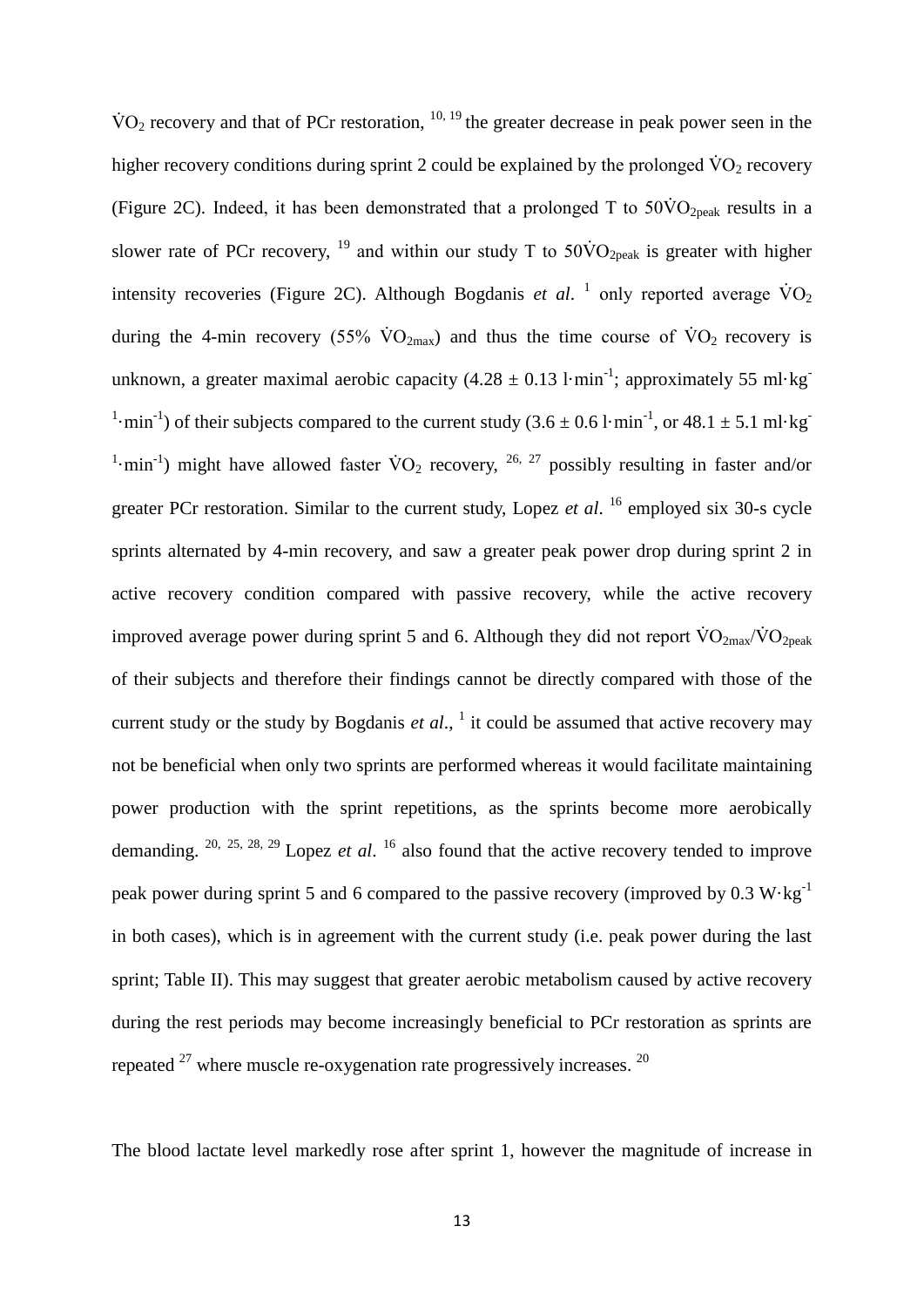$\rm \dot{VO}_2$  recovery and that of PCr restoration,  $^{10, 19}$  the greater decrease in peak power seen in the higher recovery conditions during sprint 2 could be explained by the prolonged  $\dot{V}O_2$  recovery (Figure 2C). Indeed, it has been demonstrated that a prolonged T to  $50\text{VO}_{2\text{peak}}$  results in a slower rate of PCr recovery, <sup>19</sup> and within our study T to  $50\text{VO}_{2\text{peak}}$  is greater with higher intensity recoveries (Figure 2C). Although Bogdanis *et al.* <sup>1</sup> only reported average  $\rm \dot{V}O_{2}$ during the 4-min recovery (55%  $\rm\dot{VO}_{2max}$ ) and thus the time course of  $\rm\dot{VO}_{2}$  recovery is unknown, a greater maximal aerobic capacity  $(4.28 \pm 0.13 \text{ l·min}^{-1})$ ; approximately 55 ml·kg <sup>1</sup>·min<sup>-1</sup>) of their subjects compared to the current study  $(3.6 \pm 0.6 \text{ l}\cdot\text{min}^{-1})$ , or  $48.1 \pm 5.1 \text{ ml}\cdot\text{kg}^{-1}$ <sup>1</sup>·min<sup>-1</sup>) might have allowed faster  $\rm \dot{V}O_2$  recovery, <sup>26, 27</sup> possibly resulting in faster and/or greater PCr restoration. Similar to the current study, Lopez *et al*. <sup>16</sup> employed six 30-s cycle sprints alternated by 4-min recovery, and saw a greater peak power drop during sprint 2 in active recovery condition compared with passive recovery, while the active recovery improved average power during sprint 5 and 6. Although they did not report  $\dot{V}O_{2\text{max}}/\dot{V}O_{2\text{peak}}$ of their subjects and therefore their findings cannot be directly compared with those of the current study or the study by Bogdanis *et al*., 1 it could be assumed that active recovery may not be beneficial when only two sprints are performed whereas it would facilitate maintaining power production with the sprint repetitions, as the sprints become more aerobically demanding. 20, 25, 28, 29 Lopez *et al*. <sup>16</sup> also found that the active recovery tended to improve peak power during sprint 5 and 6 compared to the passive recovery (improved by  $0.3 \text{ W} \cdot \text{kg}^{-1}$ ) in both cases), which is in agreement with the current study (i.e. peak power during the last sprint; Table II). This may suggest that greater aerobic metabolism caused by active recovery during the rest periods may become increasingly beneficial to PCr restoration as sprints are repeated  $27$  where muscle re-oxygenation rate progressively increases.  $20$ 

The blood lactate level markedly rose after sprint 1, however the magnitude of increase in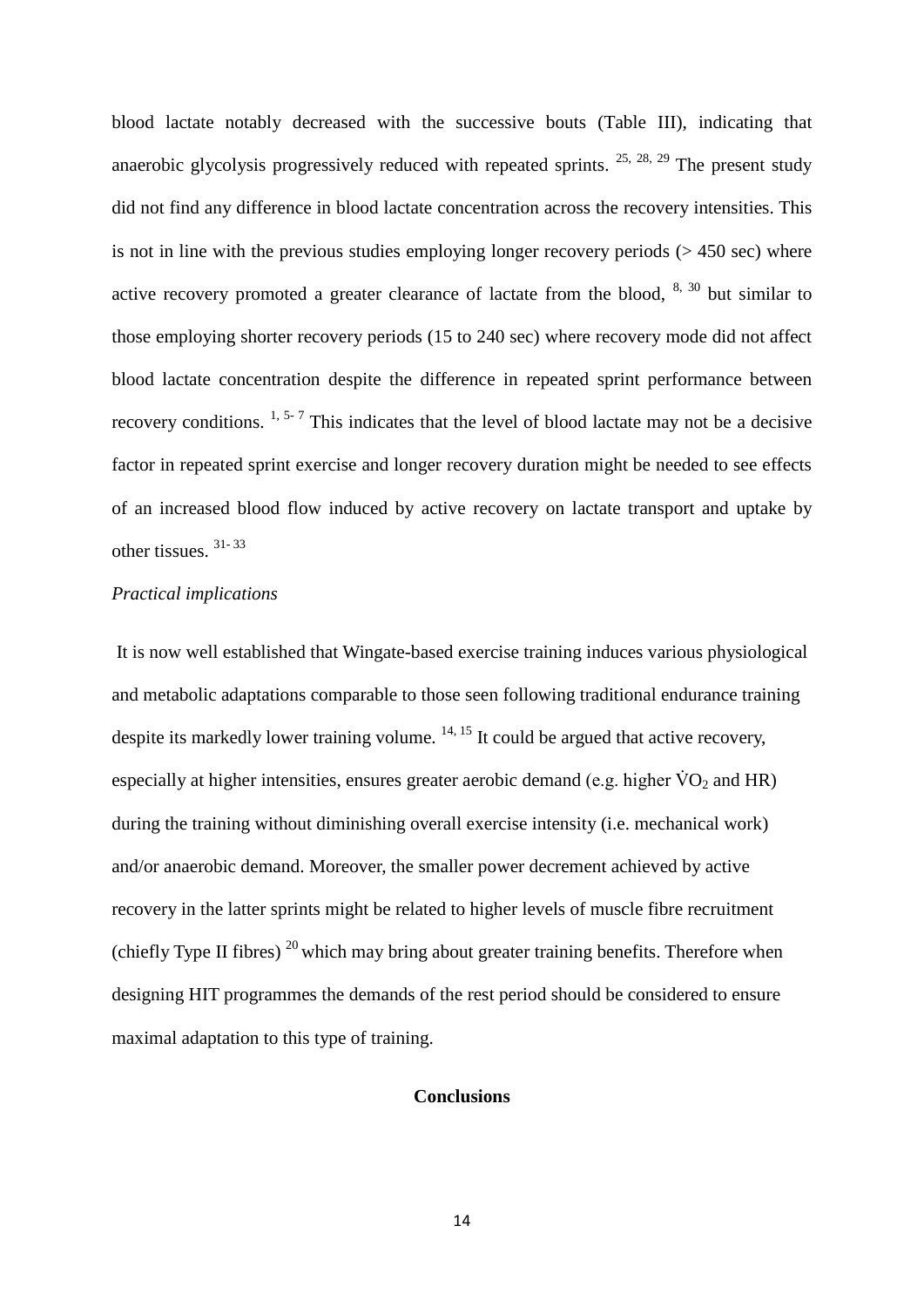blood lactate notably decreased with the successive bouts (Table III), indicating that anaerobic glycolysis progressively reduced with repeated sprints.  $25, 28, 29$  The present study did not find any difference in blood lactate concentration across the recovery intensities. This is not in line with the previous studies employing longer recovery periods  $(> 450 \text{ sec})$  where active recovery promoted a greater clearance of lactate from the blood,  $8, 30$  but similar to those employing shorter recovery periods (15 to 240 sec) where recovery mode did not affect blood lactate concentration despite the difference in repeated sprint performance between recovery conditions.  $1, 5, 7$  This indicates that the level of blood lactate may not be a decisive factor in repeated sprint exercise and longer recovery duration might be needed to see effects of an increased blood flow induced by active recovery on lactate transport and uptake by other tissues. 31- 33

# *Practical implications*

It is now well established that Wingate-based exercise training induces various physiological and metabolic adaptations comparable to those seen following traditional endurance training despite its markedly lower training volume.  $14, 15$  It could be argued that active recovery, especially at higher intensities, ensures greater aerobic demand (e.g. higher  $\rm \dot{V}O_2$  and HR) during the training without diminishing overall exercise intensity (i.e. mechanical work) and/or anaerobic demand. Moreover, the smaller power decrement achieved by active recovery in the latter sprints might be related to higher levels of muscle fibre recruitment (chiefly Type II fibres)<sup>20</sup> which may bring about greater training benefits. Therefore when designing HIT programmes the demands of the rest period should be considered to ensure maximal adaptation to this type of training.

### **Conclusions**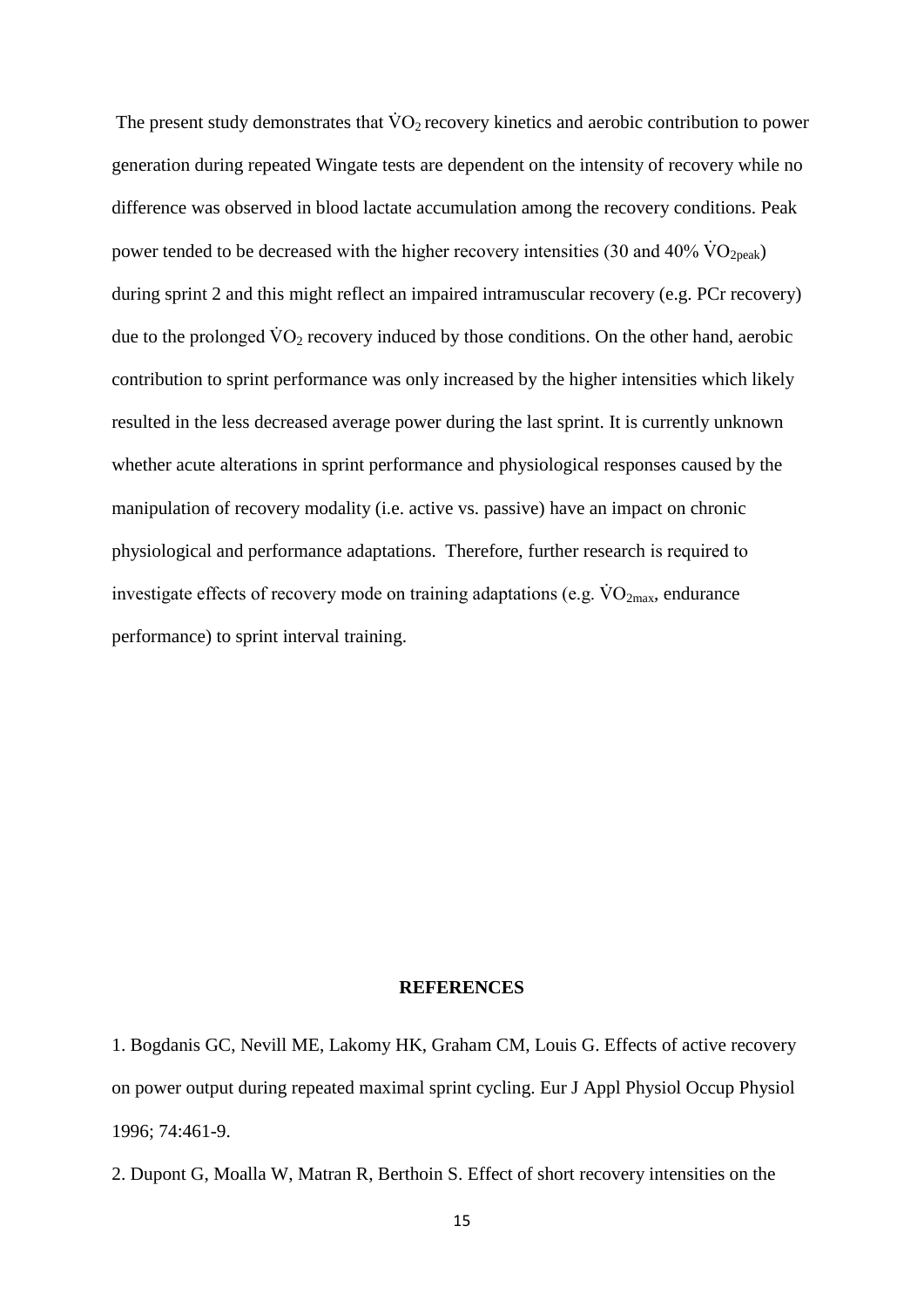The present study demonstrates that  $\rm \dot{V}O_2$  recovery kinetics and aerobic contribution to power generation during repeated Wingate tests are dependent on the intensity of recovery while no difference was observed in blood lactate accumulation among the recovery conditions. Peak power tended to be decreased with the higher recovery intensities (30 and 40%  $\rm \dot{VO}_{2peak}$ ) during sprint 2 and this might reflect an impaired intramuscular recovery (e.g. PCr recovery) due to the prolonged  $\dot{V}O_2$  recovery induced by those conditions. On the other hand, aerobic contribution to sprint performance was only increased by the higher intensities which likely resulted in the less decreased average power during the last sprint. It is currently unknown whether acute alterations in sprint performance and physiological responses caused by the manipulation of recovery modality (i.e. active vs. passive) have an impact on chronic physiological and performance adaptations. Therefore, further research is required to investigate effects of recovery mode on training adaptations (e.g.  $\rm \dot{V}O_{2max}$ , endurance performance) to sprint interval training.

### **REFERENCES**

1. Bogdanis GC, Nevill ME, Lakomy HK, Graham CM, Louis G. Effects of active recovery on power output during repeated maximal sprint cycling. Eur J Appl Physiol Occup Physiol 1996; 74:461-9.

2. Dupont G, Moalla W, Matran R, Berthoin S. Effect of short recovery intensities on the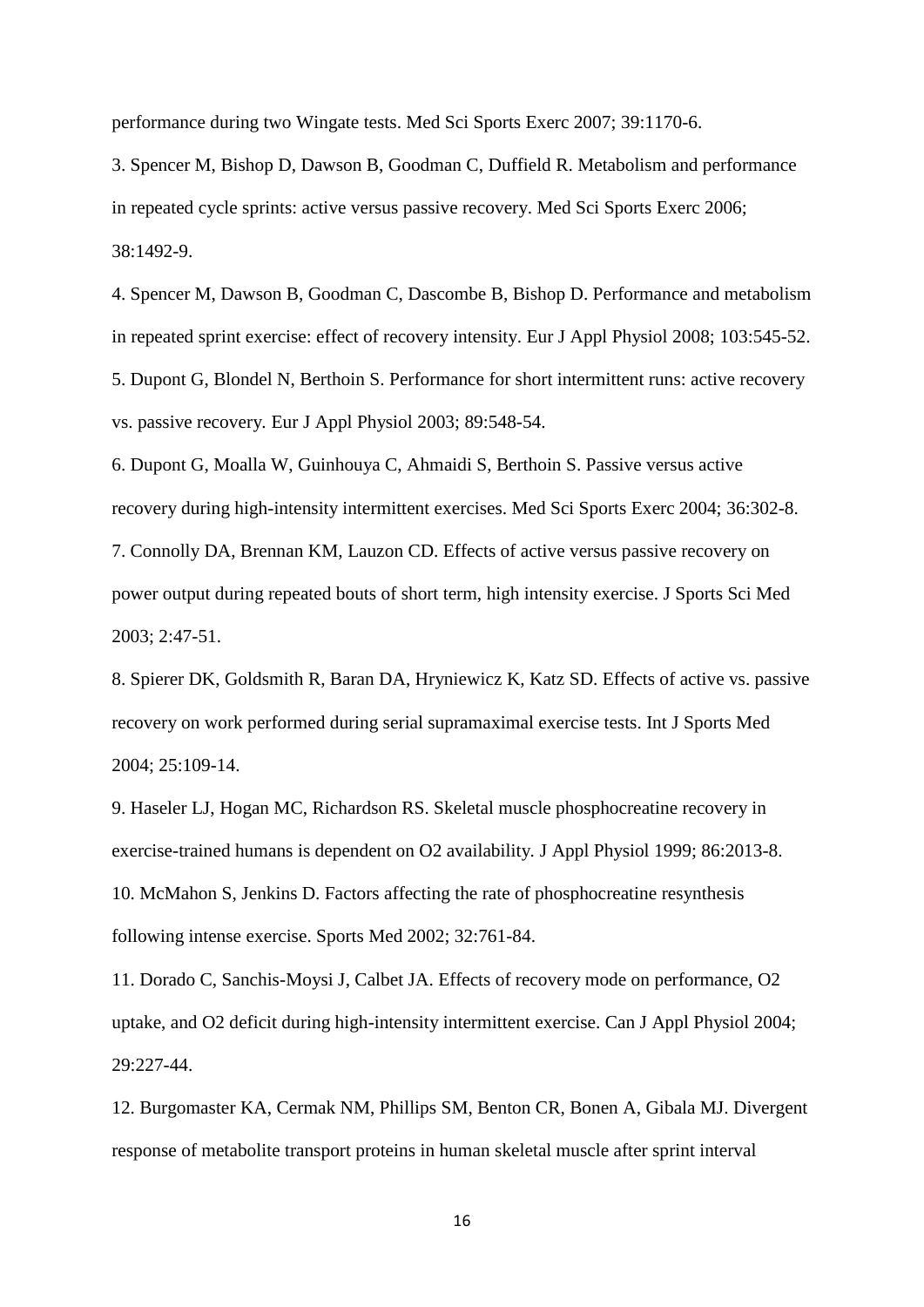performance during two Wingate tests. Med Sci Sports Exerc 2007; 39:1170-6.

3. Spencer M, Bishop D, Dawson B, Goodman C, Duffield R. Metabolism and performance in repeated cycle sprints: active versus passive recovery. Med Sci Sports Exerc 2006; 38:1492-9.

4. Spencer M, Dawson B, Goodman C, Dascombe B, Bishop D. Performance and metabolism in repeated sprint exercise: effect of recovery intensity. Eur J Appl Physiol 2008; 103:545-52. 5. Dupont G, Blondel N, Berthoin S. Performance for short intermittent runs: active recovery vs. passive recovery*.* Eur J Appl Physiol 2003; 89:548-54.

6. Dupont G, Moalla W, Guinhouya C, Ahmaidi S, Berthoin S. Passive versus active recovery during high-intensity intermittent exercises. Med Sci Sports Exerc 2004; 36:302-8. 7. Connolly DA, Brennan KM, Lauzon CD. Effects of active versus passive recovery on power output during repeated bouts of short term, high intensity exercise. J Sports Sci Med 2003; 2:47-51.

8. Spierer DK, Goldsmith R, Baran DA, Hryniewicz K, Katz SD. Effects of active vs. passive recovery on work performed during serial supramaximal exercise tests. Int J Sports Med 2004; 25:109-14.

9. Haseler LJ, Hogan MC, Richardson RS. Skeletal muscle phosphocreatine recovery in exercise-trained humans is dependent on O2 availability*.* J Appl Physiol 1999; 86:2013-8. 10. McMahon S, Jenkins D. Factors affecting the rate of phosphocreatine resynthesis following intense exercise. Sports Med 2002; 32:761-84.

11. Dorado C, Sanchis-Moysi J, Calbet JA. Effects of recovery mode on performance, O2 uptake, and O2 deficit during high-intensity intermittent exercise. Can J Appl Physiol 2004; 29:227-44.

12. Burgomaster KA, Cermak NM, Phillips SM, Benton CR, Bonen A, Gibala MJ. Divergent response of metabolite transport proteins in human skeletal muscle after sprint interval

16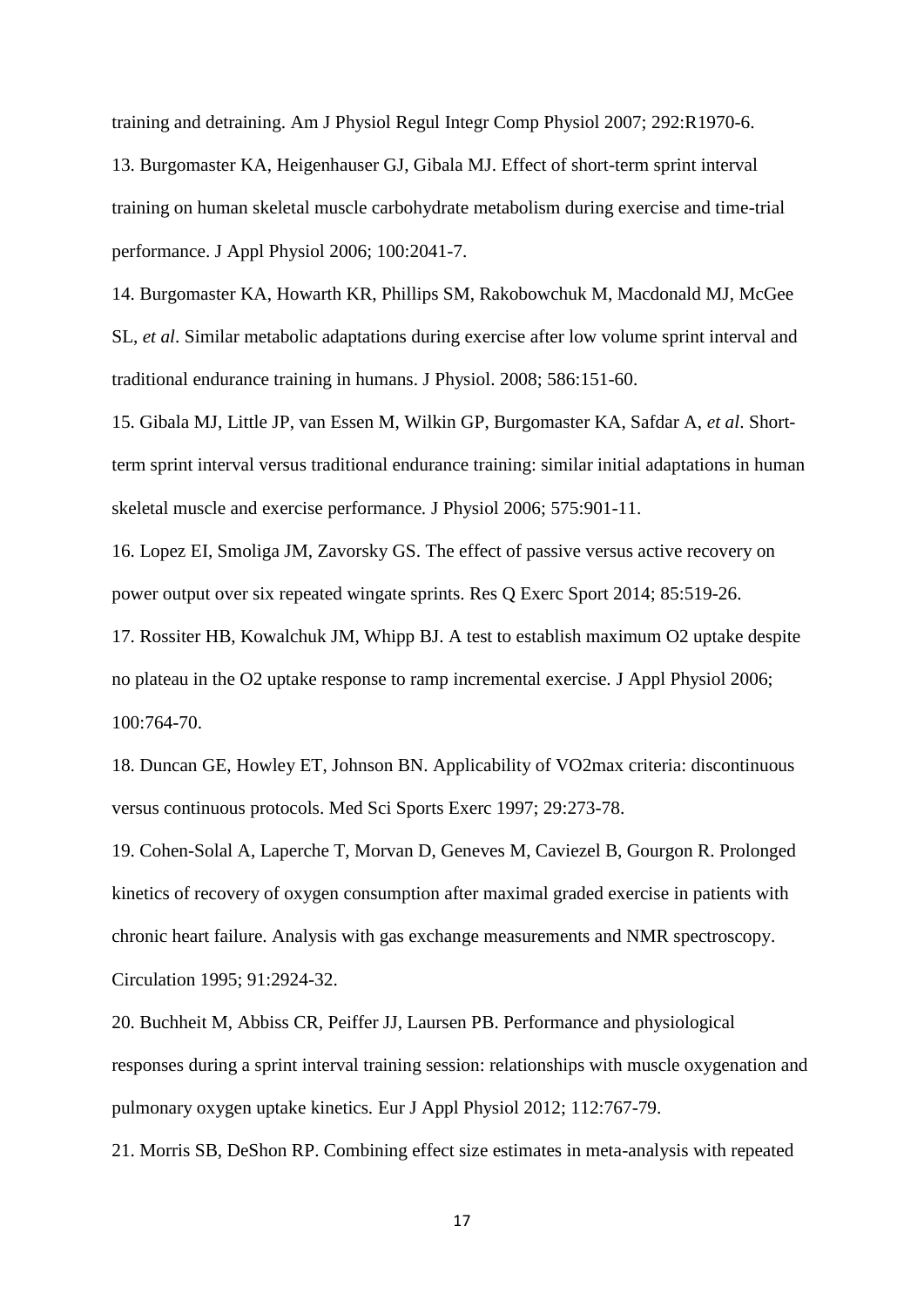training and detraining. Am J Physiol Regul Integr Comp Physiol 2007; 292:R1970-6.

13. Burgomaster KA, Heigenhauser GJ, Gibala MJ. Effect of short-term sprint interval training on human skeletal muscle carbohydrate metabolism during exercise and time-trial performance. J Appl Physiol 2006; 100:2041-7.

14. Burgomaster KA, Howarth KR, Phillips SM, Rakobowchuk M, Macdonald MJ, McGee SL, *et al*. Similar metabolic adaptations during exercise after low volume sprint interval and traditional endurance training in humans. J Physiol. 2008; 586:151-60.

15. Gibala MJ, Little JP, van Essen M, Wilkin GP, Burgomaster KA, Safdar A, *et al*. Shortterm sprint interval versus traditional endurance training: similar initial adaptations in human skeletal muscle and exercise performance*.* J Physiol 2006; 575:901-11.

16. Lopez EI, Smoliga JM, Zavorsky GS. The effect of passive versus active recovery on power output over six repeated wingate sprints. Res Q Exerc Sport 2014; 85:519-26.

17. Rossiter HB, Kowalchuk JM, Whipp BJ. A test to establish maximum O2 uptake despite no plateau in the O2 uptake response to ramp incremental exercise*.* J Appl Physiol 2006; 100:764-70.

18. Duncan GE, Howley ET, Johnson BN. Applicability of VO2max criteria: discontinuous versus continuous protocols. Med Sci Sports Exerc 1997; 29:273-78.

19. Cohen-Solal A, Laperche T, Morvan D, Geneves M, Caviezel B, Gourgon R. Prolonged kinetics of recovery of oxygen consumption after maximal graded exercise in patients with chronic heart failure. Analysis with gas exchange measurements and NMR spectroscopy. Circulation 1995; 91:2924-32.

20. Buchheit M, Abbiss CR, Peiffer JJ, Laursen PB. Performance and physiological responses during a sprint interval training session: relationships with muscle oxygenation and pulmonary oxygen uptake kinetics*.* Eur J Appl Physiol 2012; 112:767-79.

21. Morris SB, DeShon RP. Combining effect size estimates in meta-analysis with repeated

17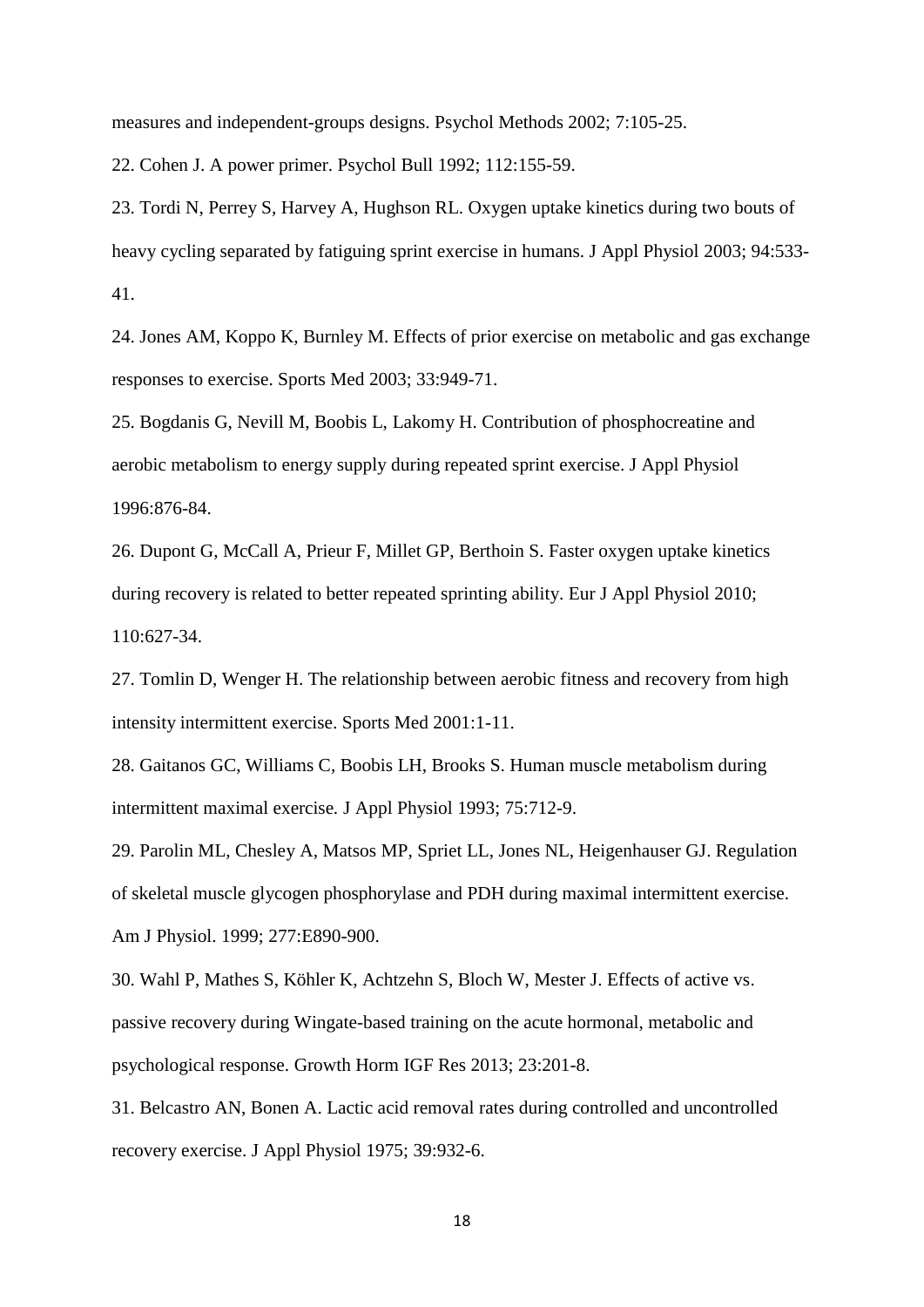measures and independent-groups designs. Psychol Methods 2002; 7:105-25.

22. Cohen J. A power primer. Psychol Bull 1992; 112:155-59.

23. Tordi N, Perrey S, Harvey A, Hughson RL. Oxygen uptake kinetics during two bouts of heavy cycling separated by fatiguing sprint exercise in humans. J Appl Physiol 2003; 94:533- 41.

24. Jones AM, Koppo K, Burnley M. Effects of prior exercise on metabolic and gas exchange responses to exercise. Sports Med 2003; 33:949-71.

25. Bogdanis G, Nevill M, Boobis L, Lakomy H. Contribution of phosphocreatine and aerobic metabolism to energy supply during repeated sprint exercise. J Appl Physiol 1996:876-84.

26. Dupont G, McCall A, Prieur F, Millet GP, Berthoin S. Faster oxygen uptake kinetics during recovery is related to better repeated sprinting ability. Eur J Appl Physiol 2010; 110:627-34.

27. Tomlin D, Wenger H. The relationship between aerobic fitness and recovery from high intensity intermittent exercise. Sports Med 2001:1-11.

28. Gaitanos GC, Williams C, Boobis LH, Brooks S. Human muscle metabolism during intermittent maximal exercise*.* J Appl Physiol 1993; 75:712-9.

29. Parolin ML, Chesley A, Matsos MP, Spriet LL, Jones NL, Heigenhauser GJ. Regulation of skeletal muscle glycogen phosphorylase and PDH during maximal intermittent exercise. Am J Physiol. 1999; 277:E890-900.

30. Wahl P, Mathes S, Köhler K, Achtzehn S, Bloch W, Mester J. Effects of active vs. passive recovery during Wingate-based training on the acute hormonal, metabolic and psychological response. Growth Horm IGF Res 2013; 23:201-8.

31. Belcastro AN, Bonen A. Lactic acid removal rates during controlled and uncontrolled recovery exercise. J Appl Physiol 1975; 39:932-6.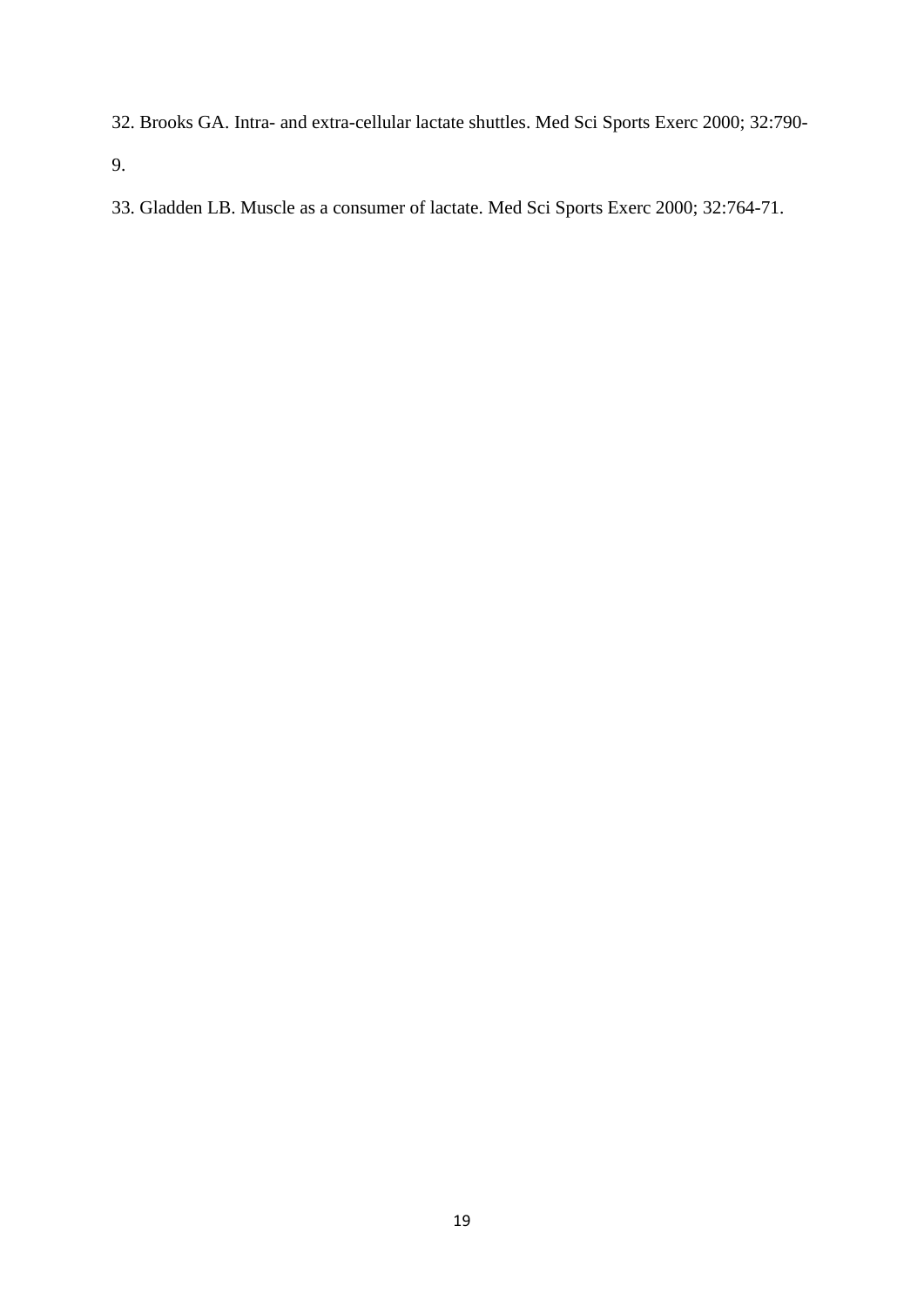32. Brooks GA. Intra- and extra-cellular lactate shuttles. Med Sci Sports Exerc 2000; 32:790-

9.

33. Gladden LB. Muscle as a consumer of lactate. Med Sci Sports Exerc 2000; 32:764-71.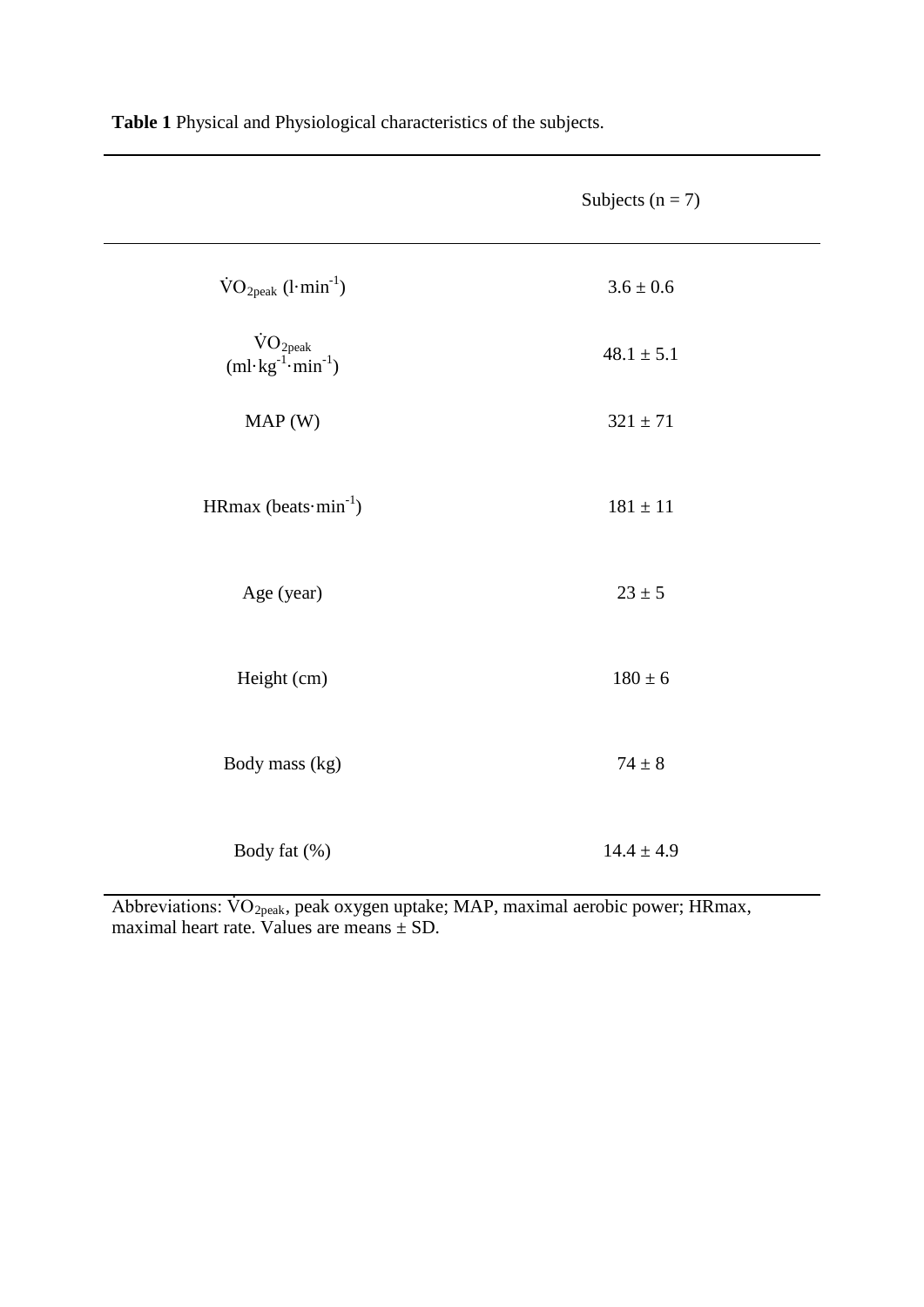|                                                               | Subjects $(n = 7)$ |  |  |
|---------------------------------------------------------------|--------------------|--|--|
| $\text{VO}_{2\text{peak}}$ (l·min <sup>-1</sup> )             | $3.6\pm0.6$        |  |  |
| $\rm \dot{VO}_{2peak}$<br>$(ml \cdot kg^{-1} \cdot min^{-1})$ | $48.1 \pm 5.1$     |  |  |
| MAP(W)                                                        | $321 \pm 71$       |  |  |
| HRmax (beats $\cdot$ min <sup>-1</sup> )                      | $181\pm11$         |  |  |
| Age (year)                                                    | $23\pm5$           |  |  |
| Height (cm)                                                   | $180 \pm 6$        |  |  |
| Body mass (kg)                                                | $74\pm8$           |  |  |
| Body fat (%)                                                  | $14.4 \pm 4.9$     |  |  |

**Table 1** Physical and Physiological characteristics of the subjects.

Abbreviations:  $\rm \dot{VO}_{2peak}$ , peak oxygen uptake; MAP, maximal aerobic power; HRmax, maximal heart rate. Values are means  $\pm$  SD.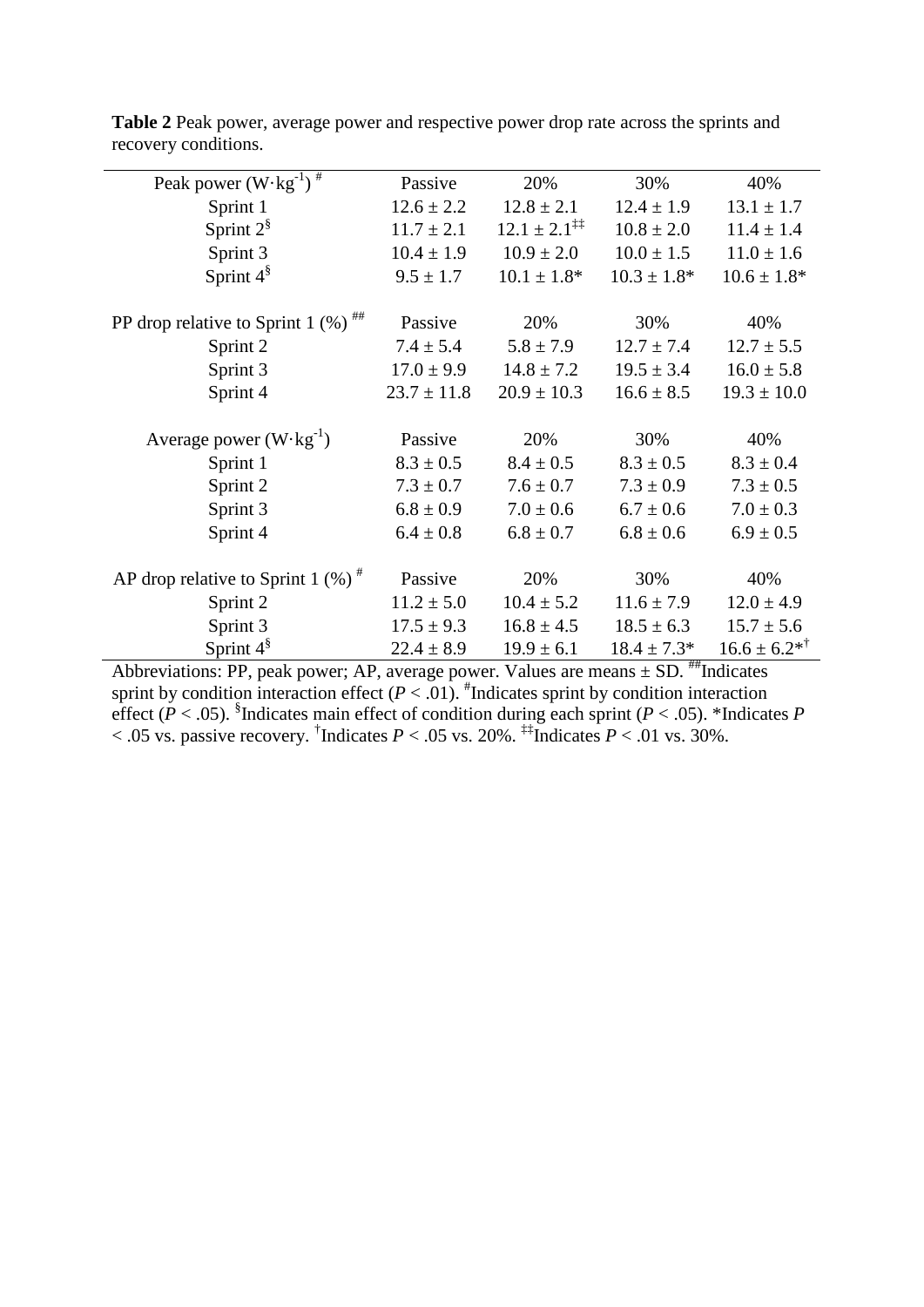| Peak power $(W \cdot kg^{-1})$ <sup>#</sup>       | Passive         | 20%                               | 30%              | 40%                |
|---------------------------------------------------|-----------------|-----------------------------------|------------------|--------------------|
| Sprint 1                                          | $12.6 \pm 2.2$  | $12.8 \pm 2.1$                    | $12.4 \pm 1.9$   | $13.1 \pm 1.7$     |
| Sprint $2^{\S}$                                   | $11.7 \pm 2.1$  | $12.1 \pm 2.1^{\ddagger\ddagger}$ | $10.8 \pm 2.0$   | $11.4 \pm 1.4$     |
| Sprint 3                                          | $10.4 \pm 1.9$  | $10.9 \pm 2.0$                    | $10.0 \pm 1.5$   | $11.0 \pm 1.6$     |
| Sprint $4^{\S}$                                   | $9.5 \pm 1.7$   | $10.1 \pm 1.8^*$                  | $10.3 \pm 1.8^*$ | $10.6 \pm 1.8*$    |
| PP drop relative to Sprint 1 $(\%)$ <sup>##</sup> | Passive         | 20%                               | 30%              | 40%                |
| Sprint 2                                          | $7.4 \pm 5.4$   | $5.8 \pm 7.9$                     | $12.7 \pm 7.4$   | $12.7 \pm 5.5$     |
| Sprint 3                                          | $17.0 \pm 9.9$  | $14.8 \pm 7.2$                    | $19.5 \pm 3.4$   | $16.0 \pm 5.8$     |
| Sprint 4                                          | $23.7 \pm 11.8$ | $20.9 \pm 10.3$                   | $16.6 \pm 8.5$   | $19.3 \pm 10.0$    |
| Average power $(W \cdot kg^{-1})$                 | Passive         | 20%                               | 30%              | 40%                |
| Sprint 1                                          | $8.3 \pm 0.5$   | $8.4 \pm 0.5$                     | $8.3 \pm 0.5$    | $8.3 \pm 0.4$      |
| Sprint 2                                          | $7.3 \pm 0.7$   | $7.6 \pm 0.7$                     | $7.3 \pm 0.9$    | $7.3 \pm 0.5$      |
| Sprint 3                                          | $6.8 \pm 0.9$   | $7.0 \pm 0.6$                     | $6.7 \pm 0.6$    | $7.0 \pm 0.3$      |
| Sprint 4                                          | $6.4 \pm 0.8$   | $6.8 \pm 0.7$                     | $6.8 \pm 0.6$    | $6.9 \pm 0.5$      |
| AP drop relative to Sprint 1 $(\%)$ <sup>#</sup>  | Passive         | 20%                               | 30%              | 40%                |
| Sprint 2                                          | $11.2 \pm 5.0$  | $10.4 \pm 5.2$                    | $11.6 \pm 7.9$   | $12.0 \pm 4.9$     |
| Sprint 3                                          | $17.5 \pm 9.3$  | $16.8 \pm 4.5$                    | $18.5 \pm 6.3$   | $15.7 \pm 5.6$     |
| Sprint $4^{\S}$                                   | $22.4 \pm 8.9$  | $19.9 \pm 6.1$                    | $18.4 \pm 7.3*$  | $16.6 \pm 6.2^{*}$ |

**Table 2** Peak power, average power and respective power drop rate across the sprints and recovery conditions.

Abbreviations: PP, peak power; AP, average power. Values are means  $\pm$  SD.  $\#$ Indicates sprint by condition interaction effect  $(P < .01)$ . <sup>#</sup>Indicates sprint by condition interaction effect ( $P < .05$ ). <sup>§</sup>Indicates main effect of condition during each sprint ( $P < .05$ ). \*Indicates  $P$  $<$  0.05 vs. passive recovery. <sup>†</sup>Indicates *P* < .05 vs. 20%. <sup>‡‡</sup>Indicates *P* < .01 vs. 30%.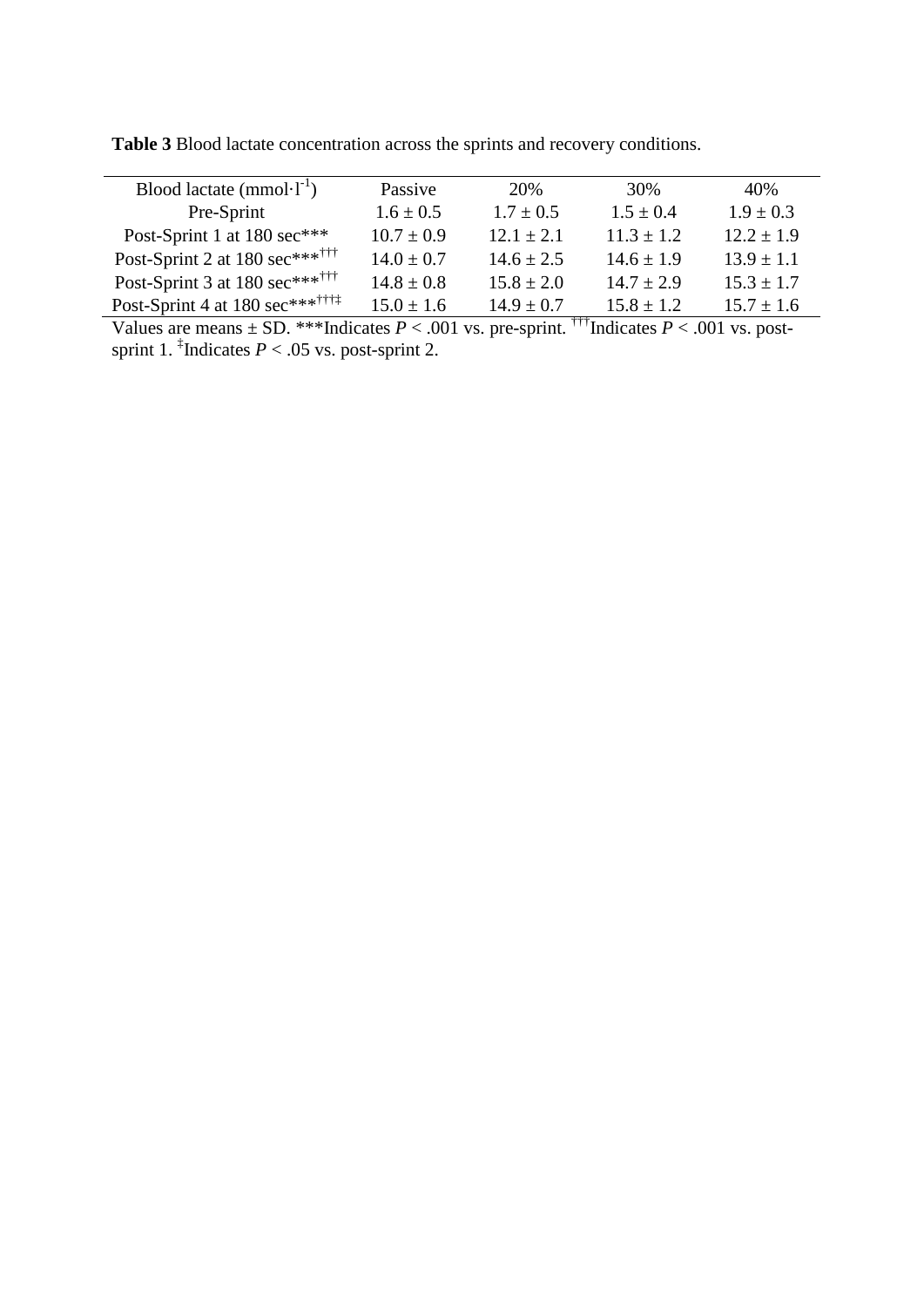| Blood lactate $(mmol·l^{-1})$               | Passive        | 20%                   | 30%            | 40%            |
|---------------------------------------------|----------------|-----------------------|----------------|----------------|
| Pre-Sprint                                  | $1.6 \pm 0.5$  | $1.7 \pm 0.5$         | $1.5 \pm 0.4$  | $1.9 \pm 0.3$  |
| Post-Sprint 1 at 180 sec***                 | $10.7 \pm 0.9$ | $12.1 \pm 2.1$        | $11.3 \pm 1.2$ | $12.2 \pm 1.9$ |
| Post-Sprint 2 at 180 sec**** <sup>†††</sup> | $14.0 \pm 0.7$ | $14.6 \pm 2.5$        | $14.6 \pm 1.9$ | $13.9 \pm 1.1$ |
| Post-Sprint 3 at 180 sec*******             | $14.8 \pm 0.8$ | $15.8 \pm 2.0$        | $14.7 \pm 2.9$ | $15.3 \pm 1.7$ |
| Post-Sprint 4 at 180 sec********            | $15.0 \pm 1.6$ | $14.9 \pm 0.7$<br>--- | $15.8 \pm 1.2$ | $15.7 \pm 1.6$ |

**Table 3** Blood lactate concentration across the sprints and recovery conditions.

Values are means  $\pm$  SD. \*\*\*Indicates *P* < .001 vs. pre-sprint. <sup>†††</sup>Indicates *P* < .001 vs. postsprint 1. <sup>‡</sup>Indicates  $P < .05$  vs. post-sprint 2.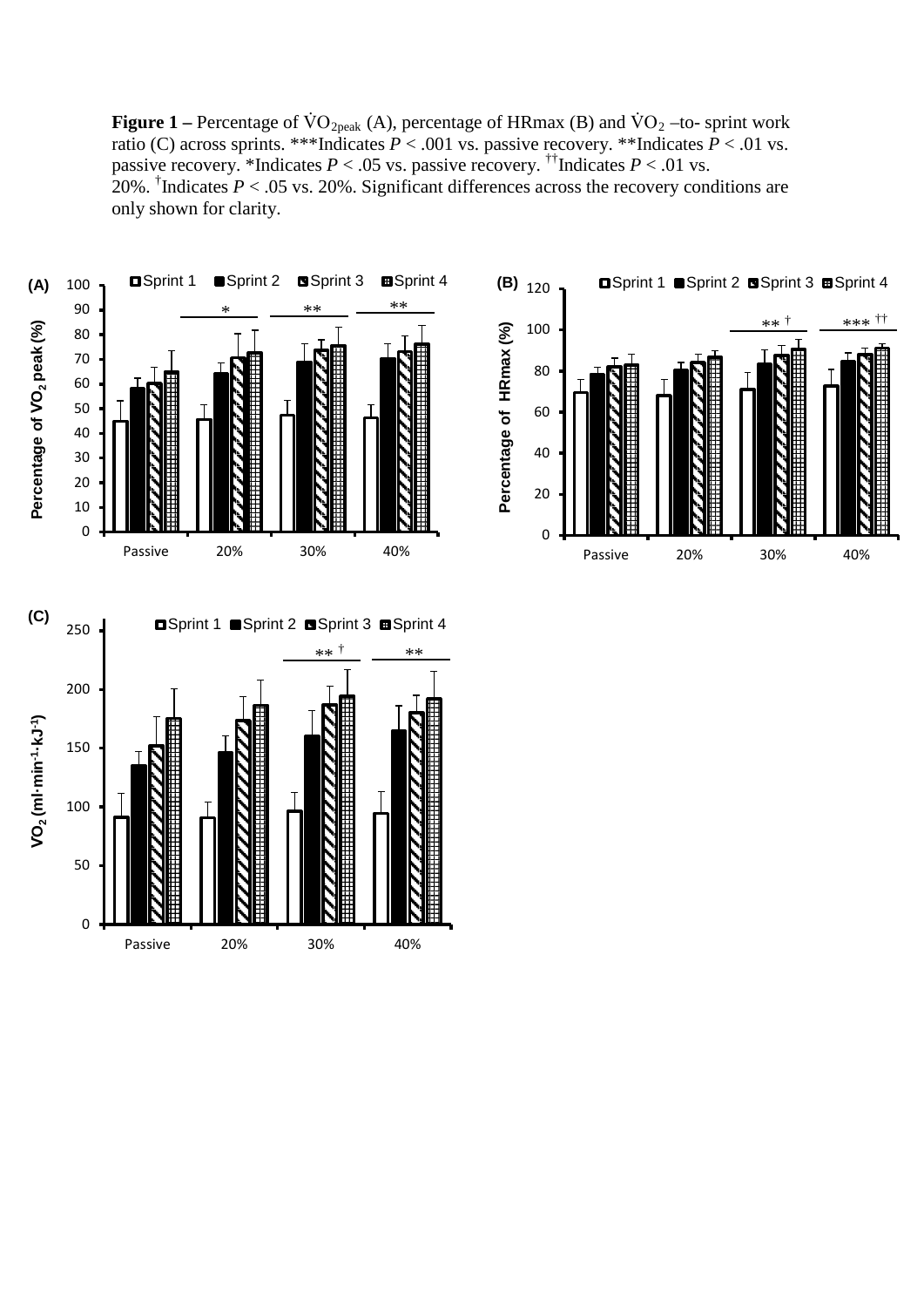**Figure 1** – Percentage of  $\text{VO}_{2\text{peak}}$  (A), percentage of HRmax (B) and  $\text{VO}_2$  –to- sprint work ratio (C) across sprints. \*\*\*Indicates  $P < .001$  vs. passive recovery. \*\*Indicates  $P < .01$  vs. passive recovery. \*Indicates  $P < .05$  vs. passive recovery. <sup>††</sup>Indicates  $P < .01$  vs. 20%. <sup>†</sup>Indicates  $P < 0.05$  vs. 20%. Significant differences across the recovery conditions are only shown for clarity.



Passive 20% 30% 40%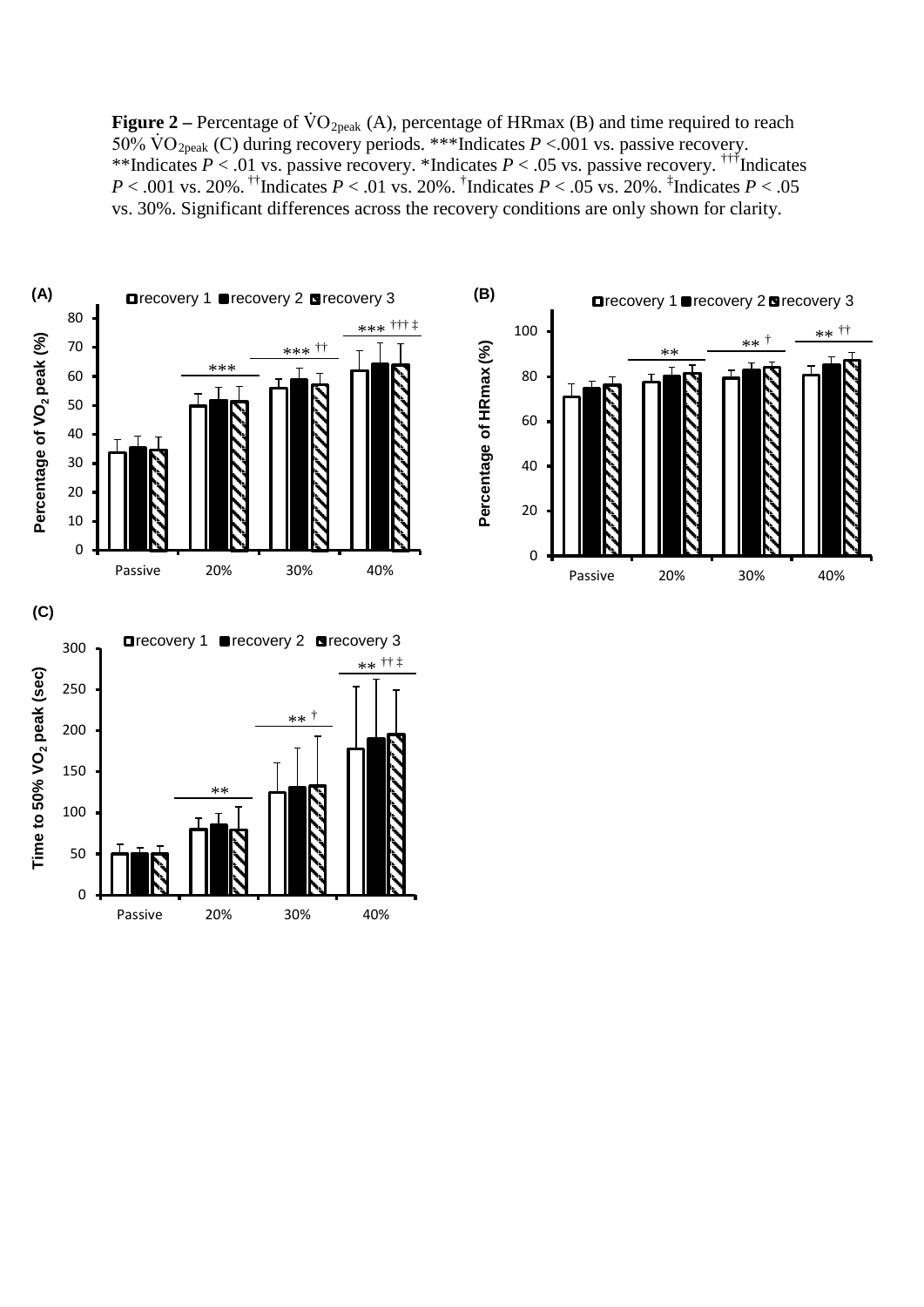**Figure 2** – Percentage of  $\text{VO}_{2\text{peak}}$  (A), percentage of HRmax (B) and time required to reach 50% VO<sub>2peak</sub> (C) during recovery periods. \*\*\*Indicates  $P < 0.01$  vs. passive recovery. \*\*Indicates  $P < .01$  vs. passive recovery. \*Indicates  $P < .05$  vs. passive recovery. <sup>†††</sup>Indicates *P* < .001 vs. 20%. <sup>††</sup>Indicates *P* < .01 vs. 20%. <sup>†</sup>Indicates *P* < .05 vs. 20%. <sup>‡</sup>Indicates *P* < .05 vs. 30%. Significant differences across the recovery conditions are only shown for clarity.